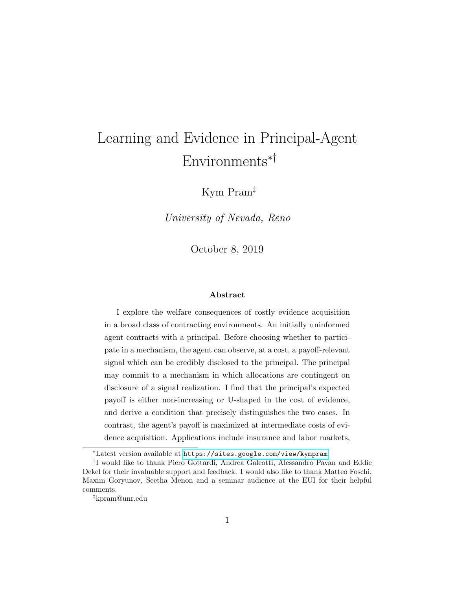# Learning and Evidence in Principal-Agent Environments∗†

Kym Pram‡

University of Nevada, Reno

October 8, 2019

#### Abstract

I explore the welfare consequences of costly evidence acquisition in a broad class of contracting environments. An initially uninformed agent contracts with a principal. Before choosing whether to participate in a mechanism, the agent can observe, at a cost, a payoff-relevant signal which can be credibly disclosed to the principal. The principal may commit to a mechanism in which allocations are contingent on disclosure of a signal realization. I find that the principal's expected payoff is either non-increasing or U-shaped in the cost of evidence, and derive a condition that precisely distinguishes the two cases. In contrast, the agent's payoff is maximized at intermediate costs of evidence acquisition. Applications include insurance and labor markets,

<sup>∗</sup>Latest version available at <https://sites.google.com/view/kympram>.

<sup>†</sup> I would like to thank Piero Gottardi, Andrea Galeotti, Alessandro Pavan and Eddie Dekel for their invaluable support and feedback. I would also like to thank Matteo Foschi, Maxim Goryunov, Seetha Menon and a seminar audience at the EUI for their helpful comments.

<sup>‡</sup>kpram@unr.edu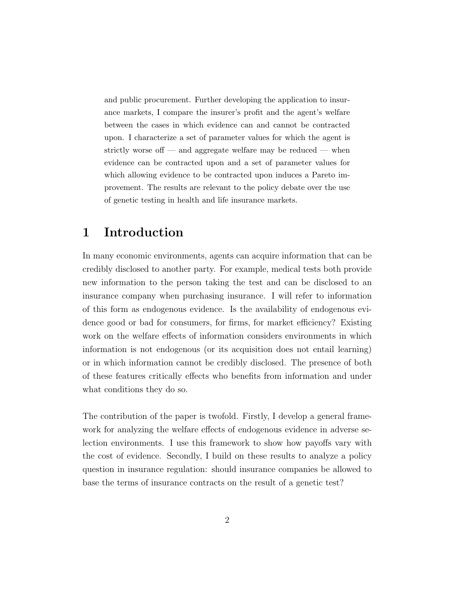and public procurement. Further developing the application to insurance markets, I compare the insurer's profit and the agent's welfare between the cases in which evidence can and cannot be contracted upon. I characterize a set of parameter values for which the agent is strictly worse of  $-$  and aggregate welfare may be reduced  $-$  when evidence can be contracted upon and a set of parameter values for which allowing evidence to be contracted upon induces a Pareto improvement. The results are relevant to the policy debate over the use of genetic testing in health and life insurance markets.

# 1 Introduction

In many economic environments, agents can acquire information that can be credibly disclosed to another party. For example, medical tests both provide new information to the person taking the test and can be disclosed to an insurance company when purchasing insurance. I will refer to information of this form as endogenous evidence. Is the availability of endogenous evidence good or bad for consumers, for firms, for market efficiency? Existing work on the welfare effects of information considers environments in which information is not endogenous (or its acquisition does not entail learning) or in which information cannot be credibly disclosed. The presence of both of these features critically effects who benefits from information and under what conditions they do so.

The contribution of the paper is twofold. Firstly, I develop a general framework for analyzing the welfare effects of endogenous evidence in adverse selection environments. I use this framework to show how payoffs vary with the cost of evidence. Secondly, I build on these results to analyze a policy question in insurance regulation: should insurance companies be allowed to base the terms of insurance contracts on the result of a genetic test?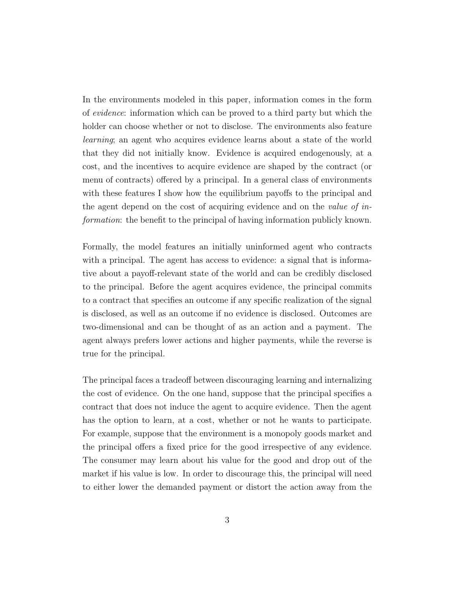In the environments modeled in this paper, information comes in the form of evidence: information which can be proved to a third party but which the holder can choose whether or not to disclose. The environments also feature learning; an agent who acquires evidence learns about a state of the world that they did not initially know. Evidence is acquired endogenously, at a cost, and the incentives to acquire evidence are shaped by the contract (or menu of contracts) offered by a principal. In a general class of environments with these features I show how the equilibrium payoffs to the principal and the agent depend on the cost of acquiring evidence and on the value of information: the benefit to the principal of having information publicly known.

Formally, the model features an initially uninformed agent who contracts with a principal. The agent has access to evidence: a signal that is informative about a payoff-relevant state of the world and can be credibly disclosed to the principal. Before the agent acquires evidence, the principal commits to a contract that specifies an outcome if any specific realization of the signal is disclosed, as well as an outcome if no evidence is disclosed. Outcomes are two-dimensional and can be thought of as an action and a payment. The agent always prefers lower actions and higher payments, while the reverse is true for the principal.

The principal faces a tradeoff between discouraging learning and internalizing the cost of evidence. On the one hand, suppose that the principal specifies a contract that does not induce the agent to acquire evidence. Then the agent has the option to learn, at a cost, whether or not he wants to participate. For example, suppose that the environment is a monopoly goods market and the principal offers a fixed price for the good irrespective of any evidence. The consumer may learn about his value for the good and drop out of the market if his value is low. In order to discourage this, the principal will need to either lower the demanded payment or distort the action away from the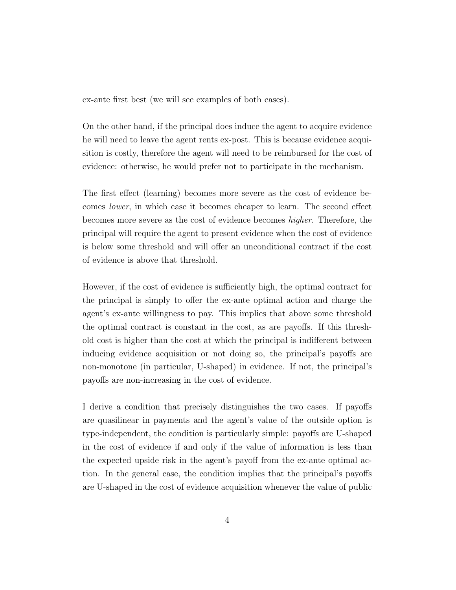ex-ante first best (we will see examples of both cases).

On the other hand, if the principal does induce the agent to acquire evidence he will need to leave the agent rents ex-post. This is because evidence acquisition is costly, therefore the agent will need to be reimbursed for the cost of evidence: otherwise, he would prefer not to participate in the mechanism.

The first effect (learning) becomes more severe as the cost of evidence becomes lower, in which case it becomes cheaper to learn. The second effect becomes more severe as the cost of evidence becomes higher. Therefore, the principal will require the agent to present evidence when the cost of evidence is below some threshold and will offer an unconditional contract if the cost of evidence is above that threshold.

However, if the cost of evidence is sufficiently high, the optimal contract for the principal is simply to offer the ex-ante optimal action and charge the agent's ex-ante willingness to pay. This implies that above some threshold the optimal contract is constant in the cost, as are payoffs. If this threshold cost is higher than the cost at which the principal is indifferent between inducing evidence acquisition or not doing so, the principal's payoffs are non-monotone (in particular, U-shaped) in evidence. If not, the principal's payoffs are non-increasing in the cost of evidence.

I derive a condition that precisely distinguishes the two cases. If payoffs are quasilinear in payments and the agent's value of the outside option is type-independent, the condition is particularly simple: payoffs are U-shaped in the cost of evidence if and only if the value of information is less than the expected upside risk in the agent's payoff from the ex-ante optimal action. In the general case, the condition implies that the principal's payoffs are U-shaped in the cost of evidence acquisition whenever the value of public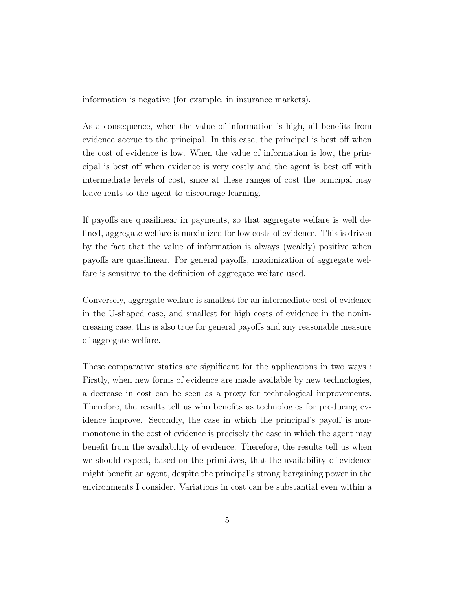information is negative (for example, in insurance markets).

As a consequence, when the value of information is high, all benefits from evidence accrue to the principal. In this case, the principal is best off when the cost of evidence is low. When the value of information is low, the principal is best off when evidence is very costly and the agent is best off with intermediate levels of cost, since at these ranges of cost the principal may leave rents to the agent to discourage learning.

If payoffs are quasilinear in payments, so that aggregate welfare is well defined, aggregate welfare is maximized for low costs of evidence. This is driven by the fact that the value of information is always (weakly) positive when payoffs are quasilinear. For general payoffs, maximization of aggregate welfare is sensitive to the definition of aggregate welfare used.

Conversely, aggregate welfare is smallest for an intermediate cost of evidence in the U-shaped case, and smallest for high costs of evidence in the nonincreasing case; this is also true for general payoffs and any reasonable measure of aggregate welfare.

These comparative statics are significant for the applications in two ways : Firstly, when new forms of evidence are made available by new technologies, a decrease in cost can be seen as a proxy for technological improvements. Therefore, the results tell us who benefits as technologies for producing evidence improve. Secondly, the case in which the principal's payoff is nonmonotone in the cost of evidence is precisely the case in which the agent may benefit from the availability of evidence. Therefore, the results tell us when we should expect, based on the primitives, that the availability of evidence might benefit an agent, despite the principal's strong bargaining power in the environments I consider. Variations in cost can be substantial even within a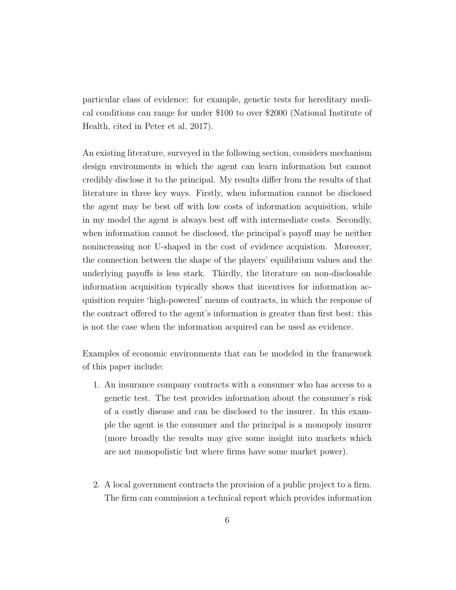particular class of evidence: for example, genetic tests for hereditary medical conditions can range for under \$100 to over \$2000 (National Institute of Health, cited in Peter et al, 2017).

An existing literature, surveyed in the following section, considers mechanism design environments in which the agent can learn information but cannot credibly disclose it to the principal. My results differ from the results of that literature in three key ways. Firstly, when information cannot be disclosed the agent may be best off with low costs of information acquisition, while in my model the agent is always best off with intermediate costs. Secondly, when information cannot be disclosed, the principal's payoff may be neither nonincreasing nor U-shaped in the cost of evidence acquistion. Moreover, the connection between the shape of the players' equilibrium values and the underlying payoffs is less stark. Thirdly, the literature on non-disclosable information acquisition typically shows that incentives for information acquisition require 'high-powered' menus of contracts, in which the response of the contract offered to the agent's information is greater than first best: this is not the case when the information acquired can be used as evidence.

Examples of economic environments that can be modeled in the framework of this paper include:

- 1. An insurance company contracts with a consumer who has access to a genetic test. The test provides information about the consumer's risk of a costly disease and can be disclosed to the insurer. In this example the agent is the consumer and the principal is a monopoly insurer (more broadly the results may give some insight into markets which are not monopolistic but where firms have some market power).
- 2. A local government contracts the provision of a public project to a firm. The firm can commission a technical report which provides information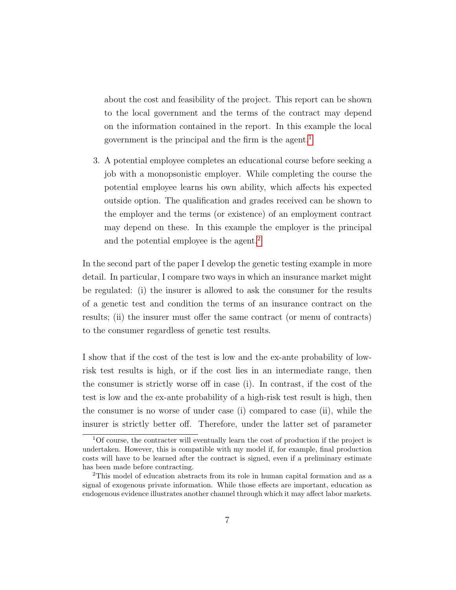about the cost and feasibility of the project. This report can be shown to the local government and the terms of the contract may depend on the information contained in the report. In this example the local government is the principal and the firm is the agent.<sup>[1](#page-6-0)</sup>

3. A potential employee completes an educational course before seeking a job with a monopsonistic employer. While completing the course the potential employee learns his own ability, which affects his expected outside option. The qualification and grades received can be shown to the employer and the terms (or existence) of an employment contract may depend on these. In this example the employer is the principal and the potential employee is the agent.<sup>[2](#page-6-1)</sup>

In the second part of the paper I develop the genetic testing example in more detail. In particular, I compare two ways in which an insurance market might be regulated: (i) the insurer is allowed to ask the consumer for the results of a genetic test and condition the terms of an insurance contract on the results; (ii) the insurer must offer the same contract (or menu of contracts) to the consumer regardless of genetic test results.

I show that if the cost of the test is low and the ex-ante probability of lowrisk test results is high, or if the cost lies in an intermediate range, then the consumer is strictly worse off in case (i). In contrast, if the cost of the test is low and the ex-ante probability of a high-risk test result is high, then the consumer is no worse of under case (i) compared to case (ii), while the insurer is strictly better off. Therefore, under the latter set of parameter

<span id="page-6-0"></span><sup>1</sup>Of course, the contracter will eventually learn the cost of production if the project is undertaken. However, this is compatible with my model if, for example, final production costs will have to be learned after the contract is signed, even if a preliminary estimate has been made before contracting.

<span id="page-6-1"></span><sup>2</sup>This model of education abstracts from its role in human capital formation and as a signal of exogenous private information. While those effects are important, education as endogenous evidence illustrates another channel through which it may affect labor markets.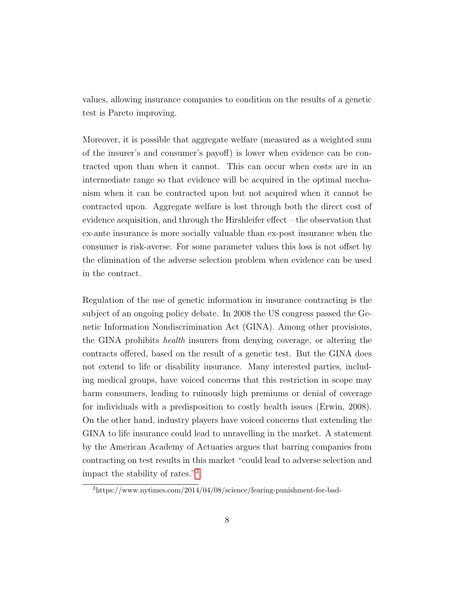values, allowing insurance companies to condition on the results of a genetic test is Pareto improving.

Moreover, it is possible that aggregate welfare (measured as a weighted sum of the insurer's and consumer's payoff) is lower when evidence can be contracted upon than when it cannot. This can occur when costs are in an intermediate range so that evidence will be acquired in the optimal mechanism when it can be contracted upon but not acquired when it cannot be contracted upon. Aggregate welfare is lost through both the direct cost of evidence acquisition, and through the Hirshleifer effect – the observation that ex-ante insurance is more socially valuable than ex-post insurance when the consumer is risk-averse. For some parameter values this loss is not offset by the elimination of the adverse selection problem when evidence can be used in the contract.

Regulation of the use of genetic information in insurance contracting is the subject of an ongoing policy debate. In 2008 the US congress passed the Genetic Information Nondiscrimination Act (GINA). Among other provisions, the GINA prohibits health insurers from denying coverage, or altering the contracts offered, based on the result of a genetic test. But the GINA does not extend to life or disability insurance. Many interested parties, including medical groups, have voiced concerns that this restriction in scope may harm consumers, leading to ruinously high premiums or denial of coverage for individuals with a predisposition to costly health issues (Erwin, 2008). On the other hand, industry players have voiced concerns that extending the GINA to life insurance could lead to unravelling in the market. A statement by the American Academy of Actuaries argues that barring companies from contracting on test results in this market "could lead to adverse selection and impact the stability of rates."[3](#page-7-0)

<span id="page-7-0"></span><sup>3</sup>https://www.nytimes.com/2014/04/08/science/fearing-punishment-for-bad-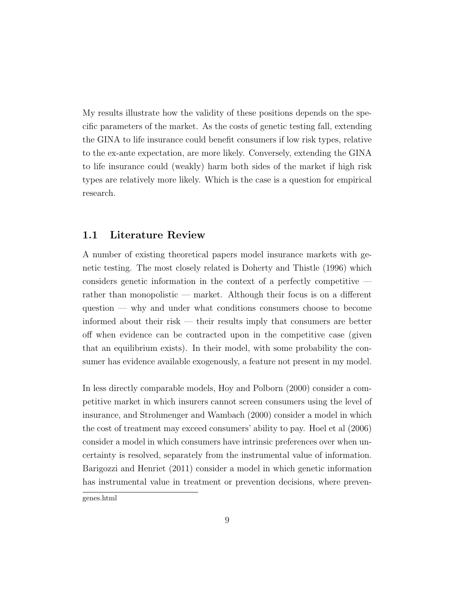My results illustrate how the validity of these positions depends on the specific parameters of the market. As the costs of genetic testing fall, extending the GINA to life insurance could benefit consumers if low risk types, relative to the ex-ante expectation, are more likely. Conversely, extending the GINA to life insurance could (weakly) harm both sides of the market if high risk types are relatively more likely. Which is the case is a question for empirical research.

### 1.1 Literature Review

A number of existing theoretical papers model insurance markets with genetic testing. The most closely related is Doherty and Thistle (1996) which considers genetic information in the context of a perfectly competitive rather than monopolistic — market. Although their focus is on a different question — why and under what conditions consumers choose to become informed about their risk — their results imply that consumers are better off when evidence can be contracted upon in the competitive case (given that an equilibrium exists). In their model, with some probability the consumer has evidence available exogenously, a feature not present in my model.

In less directly comparable models, Hoy and Polborn (2000) consider a competitive market in which insurers cannot screen consumers using the level of insurance, and Strohmenger and Wambach (2000) consider a model in which the cost of treatment may exceed consumers' ability to pay. Hoel et al (2006) consider a model in which consumers have intrinsic preferences over when uncertainty is resolved, separately from the instrumental value of information. Barigozzi and Henriet (2011) consider a model in which genetic information has instrumental value in treatment or prevention decisions, where preven-

genes.html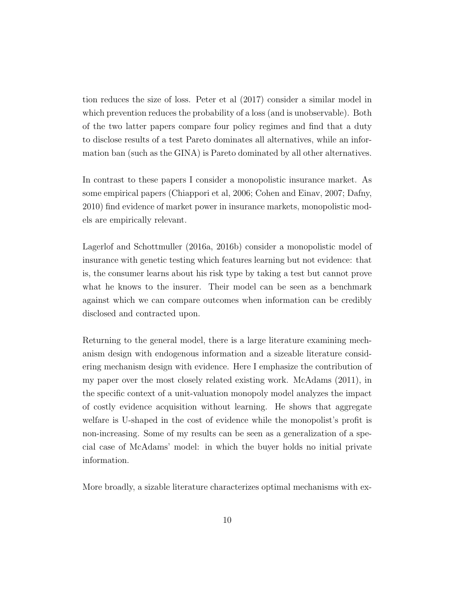tion reduces the size of loss. Peter et al (2017) consider a similar model in which prevention reduces the probability of a loss (and is unobservable). Both of the two latter papers compare four policy regimes and find that a duty to disclose results of a test Pareto dominates all alternatives, while an information ban (such as the GINA) is Pareto dominated by all other alternatives.

In contrast to these papers I consider a monopolistic insurance market. As some empirical papers (Chiappori et al, 2006; Cohen and Einav, 2007; Dafny, 2010) find evidence of market power in insurance markets, monopolistic models are empirically relevant.

Lagerlof and Schottmuller (2016a, 2016b) consider a monopolistic model of insurance with genetic testing which features learning but not evidence: that is, the consumer learns about his risk type by taking a test but cannot prove what he knows to the insurer. Their model can be seen as a benchmark against which we can compare outcomes when information can be credibly disclosed and contracted upon.

Returning to the general model, there is a large literature examining mechanism design with endogenous information and a sizeable literature considering mechanism design with evidence. Here I emphasize the contribution of my paper over the most closely related existing work. McAdams (2011), in the specific context of a unit-valuation monopoly model analyzes the impact of costly evidence acquisition without learning. He shows that aggregate welfare is U-shaped in the cost of evidence while the monopolist's profit is non-increasing. Some of my results can be seen as a generalization of a special case of McAdams' model: in which the buyer holds no initial private information.

More broadly, a sizable literature characterizes optimal mechanisms with ex-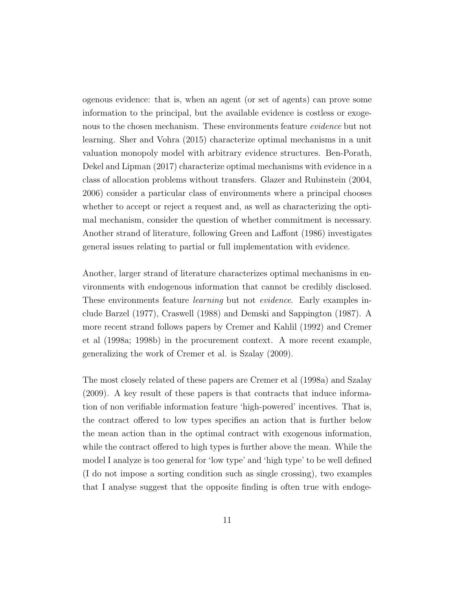ogenous evidence: that is, when an agent (or set of agents) can prove some information to the principal, but the available evidence is costless or exogenous to the chosen mechanism. These environments feature evidence but not learning. Sher and Vohra (2015) characterize optimal mechanisms in a unit valuation monopoly model with arbitrary evidence structures. Ben-Porath, Dekel and Lipman (2017) characterize optimal mechanisms with evidence in a class of allocation problems without transfers. Glazer and Rubinstein (2004, 2006) consider a particular class of environments where a principal chooses whether to accept or reject a request and, as well as characterizing the optimal mechanism, consider the question of whether commitment is necessary. Another strand of literature, following Green and Laffont (1986) investigates general issues relating to partial or full implementation with evidence.

Another, larger strand of literature characterizes optimal mechanisms in environments with endogenous information that cannot be credibly disclosed. These environments feature learning but not evidence. Early examples include Barzel (1977), Craswell (1988) and Demski and Sappington (1987). A more recent strand follows papers by Cremer and Kahlil (1992) and Cremer et al (1998a; 1998b) in the procurement context. A more recent example, generalizing the work of Cremer et al. is Szalay (2009).

The most closely related of these papers are Cremer et al (1998a) and Szalay (2009). A key result of these papers is that contracts that induce information of non verifiable information feature 'high-powered' incentives. That is, the contract offered to low types specifies an action that is further below the mean action than in the optimal contract with exogenous information, while the contract offered to high types is further above the mean. While the model I analyze is too general for 'low type' and 'high type' to be well defined (I do not impose a sorting condition such as single crossing), two examples that I analyse suggest that the opposite finding is often true with endoge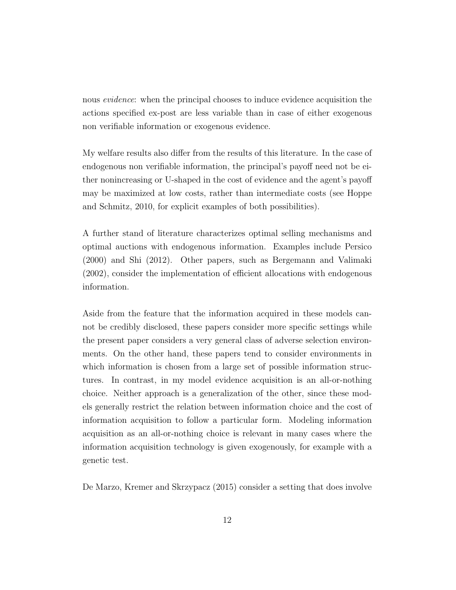nous evidence: when the principal chooses to induce evidence acquisition the actions specified ex-post are less variable than in case of either exogenous non verifiable information or exogenous evidence.

My welfare results also differ from the results of this literature. In the case of endogenous non verifiable information, the principal's payoff need not be either nonincreasing or U-shaped in the cost of evidence and the agent's payoff may be maximized at low costs, rather than intermediate costs (see Hoppe and Schmitz, 2010, for explicit examples of both possibilities).

A further stand of literature characterizes optimal selling mechanisms and optimal auctions with endogenous information. Examples include Persico (2000) and Shi (2012). Other papers, such as Bergemann and Valimaki (2002), consider the implementation of efficient allocations with endogenous information.

Aside from the feature that the information acquired in these models cannot be credibly disclosed, these papers consider more specific settings while the present paper considers a very general class of adverse selection environments. On the other hand, these papers tend to consider environments in which information is chosen from a large set of possible information structures. In contrast, in my model evidence acquisition is an all-or-nothing choice. Neither approach is a generalization of the other, since these models generally restrict the relation between information choice and the cost of information acquisition to follow a particular form. Modeling information acquisition as an all-or-nothing choice is relevant in many cases where the information acquisition technology is given exogenously, for example with a genetic test.

De Marzo, Kremer and Skrzypacz (2015) consider a setting that does involve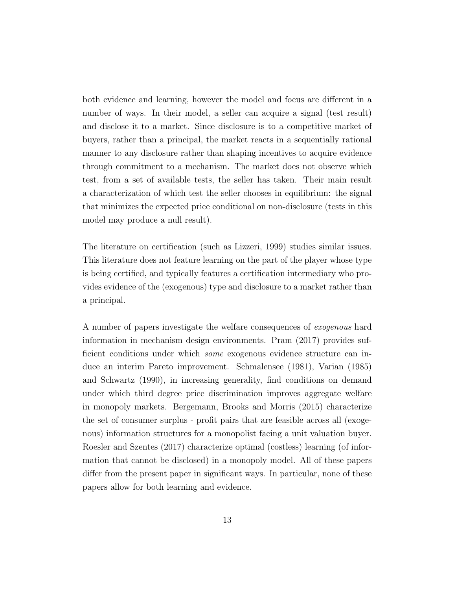both evidence and learning, however the model and focus are different in a number of ways. In their model, a seller can acquire a signal (test result) and disclose it to a market. Since disclosure is to a competitive market of buyers, rather than a principal, the market reacts in a sequentially rational manner to any disclosure rather than shaping incentives to acquire evidence through commitment to a mechanism. The market does not observe which test, from a set of available tests, the seller has taken. Their main result a characterization of which test the seller chooses in equilibrium: the signal that minimizes the expected price conditional on non-disclosure (tests in this model may produce a null result).

The literature on certification (such as Lizzeri, 1999) studies similar issues. This literature does not feature learning on the part of the player whose type is being certified, and typically features a certification intermediary who provides evidence of the (exogenous) type and disclosure to a market rather than a principal.

A number of papers investigate the welfare consequences of exogenous hard information in mechanism design environments. Pram (2017) provides sufficient conditions under which some exogenous evidence structure can induce an interim Pareto improvement. Schmalensee (1981), Varian (1985) and Schwartz (1990), in increasing generality, find conditions on demand under which third degree price discrimination improves aggregate welfare in monopoly markets. Bergemann, Brooks and Morris (2015) characterize the set of consumer surplus - profit pairs that are feasible across all (exogenous) information structures for a monopolist facing a unit valuation buyer. Roesler and Szentes (2017) characterize optimal (costless) learning (of information that cannot be disclosed) in a monopoly model. All of these papers differ from the present paper in significant ways. In particular, none of these papers allow for both learning and evidence.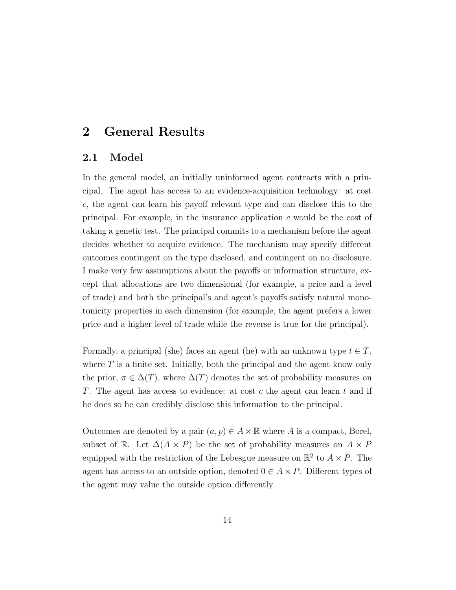# 2 General Results

#### 2.1 Model

In the general model, an initially uninformed agent contracts with a principal. The agent has access to an evidence-acquisition technology: at cost c, the agent can learn his payoff relevant type and can disclose this to the principal. For example, in the insurance application  $c$  would be the cost of taking a genetic test. The principal commits to a mechanism before the agent decides whether to acquire evidence. The mechanism may specify different outcomes contingent on the type disclosed, and contingent on no disclosure. I make very few assumptions about the payoffs or information structure, except that allocations are two dimensional (for example, a price and a level of trade) and both the principal's and agent's payoffs satisfy natural monotonicity properties in each dimension (for example, the agent prefers a lower price and a higher level of trade while the reverse is true for the principal).

Formally, a principal (she) faces an agent (he) with an unknown type  $t \in T$ , where  $T$  is a finite set. Initially, both the principal and the agent know only the prior,  $\pi \in \Delta(T)$ , where  $\Delta(T)$  denotes the set of probability measures on T. The agent has access to evidence: at cost c the agent can learn t and if he does so he can credibly disclose this information to the principal.

Outcomes are denoted by a pair  $(a, p) \in A \times \mathbb{R}$  where A is a compact, Borel, subset of R. Let  $\Delta(A \times P)$  be the set of probability measures on  $A \times P$ equipped with the restriction of the Lebesgue measure on  $\mathbb{R}^2$  to  $A \times P$ . The agent has access to an outside option, denoted  $0 \in A \times P$ . Different types of the agent may value the outside option differently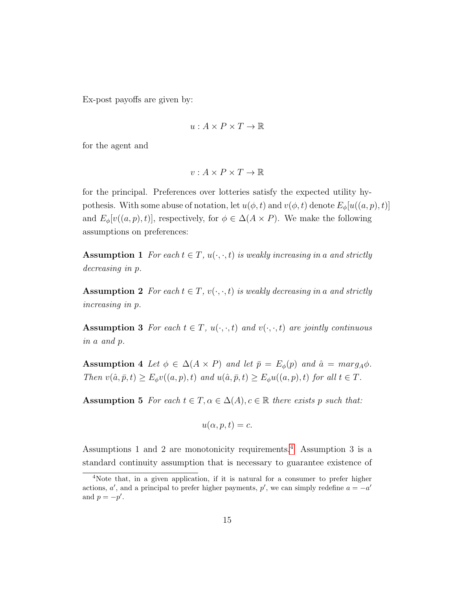Ex-post payoffs are given by:

$$
u: A \times P \times T \to \mathbb{R}
$$

for the agent and

$$
v: A \times P \times T \to \mathbb{R}
$$

for the principal. Preferences over lotteries satisfy the expected utility hypothesis. With some abuse of notation, let  $u(\phi, t)$  and  $v(\phi, t)$  denote  $E_{\phi}[u((a, p), t)]$ and  $E_{\phi}[v((a, p), t)]$ , respectively, for  $\phi \in \Delta(A \times P)$ . We make the following assumptions on preferences:

Assumption 1 For each  $t \in T$ ,  $u(\cdot, \cdot, t)$  is weakly increasing in a and strictly decreasing in p.

**Assumption 2** For each  $t \in T$ ,  $v(\cdot, \cdot, t)$  is weakly decreasing in a and strictly increasing in p.

**Assumption 3** For each  $t \in T$ ,  $u(\cdot, \cdot, t)$  and  $v(\cdot, \cdot, t)$  are jointly continuous in a and p.

Assumption 4 Let  $\phi \in \Delta(A \times P)$  and let  $\bar{p} = E_{\phi}(p)$  and  $\hat{a} = marg_A\phi$ . Then  $v(\hat{a}, \bar{p}, t) \ge E_{\phi}v((a, p), t)$  and  $u(\hat{a}, \bar{p}, t) \ge E_{\phi}u((a, p), t)$  for all  $t \in T$ .

**Assumption 5** For each  $t \in T$ ,  $\alpha \in \Delta(A)$ ,  $c \in \mathbb{R}$  there exists p such that:

$$
u(\alpha, p, t) = c.
$$

Assumptions 1 and 2 are monotonicity requirements.[4](#page-14-0) Assumption 3 is a standard continuity assumption that is necessary to guarantee existence of

<span id="page-14-0"></span><sup>4</sup>Note that, in a given application, if it is natural for a consumer to prefer higher actions, a', and a principal to prefer higher payments, p', we can simply redefine  $a = -a'$ and  $p = -p'$ .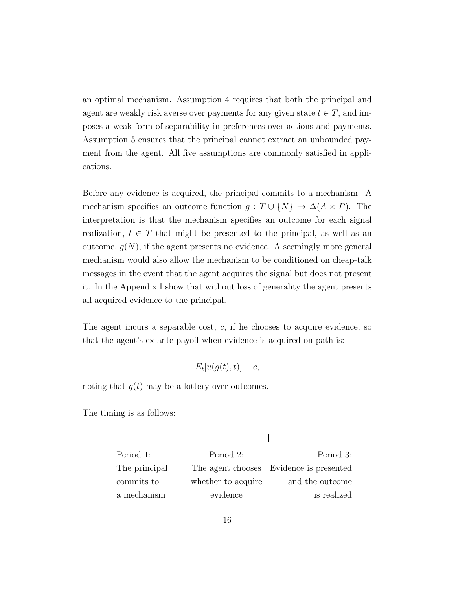an optimal mechanism. Assumption 4 requires that both the principal and agent are weakly risk averse over payments for any given state  $t \in T$ , and imposes a weak form of separability in preferences over actions and payments. Assumption 5 ensures that the principal cannot extract an unbounded payment from the agent. All five assumptions are commonly satisfied in applications.

Before any evidence is acquired, the principal commits to a mechanism. A mechanism specifies an outcome function  $g : T \cup \{N\} \rightarrow \Delta(A \times P)$ . The interpretation is that the mechanism specifies an outcome for each signal realization,  $t \in T$  that might be presented to the principal, as well as an outcome,  $g(N)$ , if the agent presents no evidence. A seemingly more general mechanism would also allow the mechanism to be conditioned on cheap-talk messages in the event that the agent acquires the signal but does not present it. In the Appendix I show that without loss of generality the agent presents all acquired evidence to the principal.

The agent incurs a separable cost,  $c$ , if he chooses to acquire evidence, so that the agent's ex-ante payoff when evidence is acquired on-path is:

 $E_t[u(g(t), t)] - c,$ 

noting that  $q(t)$  may be a lottery over outcomes.

The timing is as follows:

| Period 1:     | Period 2:          | Period 3:                               |
|---------------|--------------------|-----------------------------------------|
| The principal |                    | The agent chooses Evidence is presented |
| commits to    | whether to acquire | and the outcome                         |
| a mechanism   | evidence           | is realized                             |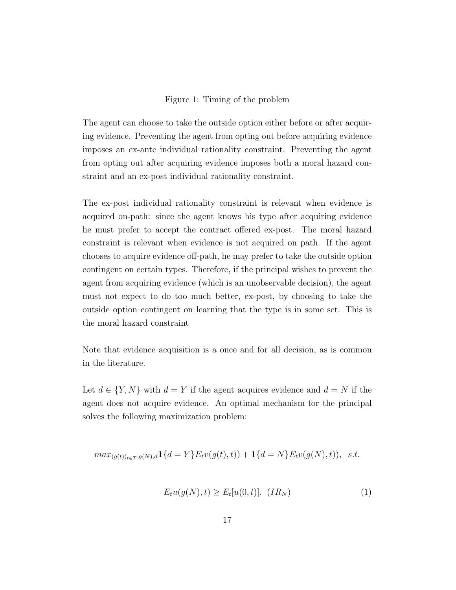#### Figure 1: Timing of the problem

The agent can choose to take the outside option either before or after acquiring evidence. Preventing the agent from opting out before acquiring evidence imposes an ex-ante individual rationality constraint. Preventing the agent from opting out after acquiring evidence imposes both a moral hazard constraint and an ex-post individual rationality constraint.

The ex-post individual rationality constraint is relevant when evidence is acquired on-path: since the agent knows his type after acquiring evidence he must prefer to accept the contract offered ex-post. The moral hazard constraint is relevant when evidence is not acquired on path. If the agent chooses to acquire evidence off-path, he may prefer to take the outside option contingent on certain types. Therefore, if the principal wishes to prevent the agent from acquiring evidence (which is an unobservable decision), the agent must not expect to do too much better, ex-post, by choosing to take the outside option contingent on learning that the type is in some set. This is the moral hazard constraint

Note that evidence acquisition is a once and for all decision, as is common in the literature.

Let  $d \in \{Y, N\}$  with  $d = Y$  if the agent acquires evidence and  $d = N$  if the agent does not acquire evidence. An optimal mechanism for the principal solves the following maximization problem:

$$
max_{(g(t))_{t \in T}, g(N), d} \mathbf{1}\{d = Y\} E_t v(g(t), t) + \mathbf{1}\{d = N\} E_t v(g(N), t)), \ \ s.t.
$$

$$
E_t u(g(N), t) \ge E_t[u(0, t)]. \quad (IR_N)
$$
\n
$$
(1)
$$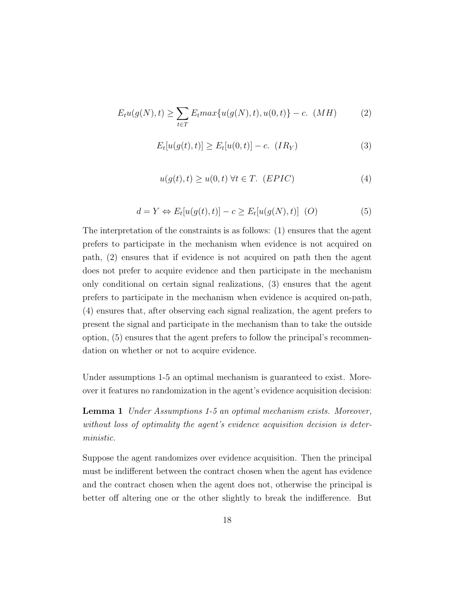$$
E_t u(g(N), t) \ge \sum_{t \in T} E_t max\{u(g(N), t), u(0, t)\} - c. \quad (MH)
$$
 (2)

$$
E_t[u(g(t),t)] \ge E_t[u(0,t)] - c. \t(IR_Y)
$$
\n(3)

$$
u(g(t),t) \ge u(0,t) \,\forall t \in T. \ (EPIC)
$$
\n
$$
(4)
$$

$$
d = Y \Leftrightarrow E_t[u(g(t), t)] - c \ge E_t[u(g(N), t)] \tag{5}
$$

The interpretation of the constraints is as follows: (1) ensures that the agent prefers to participate in the mechanism when evidence is not acquired on path, (2) ensures that if evidence is not acquired on path then the agent does not prefer to acquire evidence and then participate in the mechanism only conditional on certain signal realizations, (3) ensures that the agent prefers to participate in the mechanism when evidence is acquired on-path, (4) ensures that, after observing each signal realization, the agent prefers to present the signal and participate in the mechanism than to take the outside option, (5) ensures that the agent prefers to follow the principal's recommendation on whether or not to acquire evidence.

Under assumptions 1-5 an optimal mechanism is guaranteed to exist. Moreover it features no randomization in the agent's evidence acquisition decision:

Lemma 1 Under Assumptions 1-5 an optimal mechanism exists. Moreover, without loss of optimality the agent's evidence acquisition decision is deterministic.

Suppose the agent randomizes over evidence acquisition. Then the principal must be indifferent between the contract chosen when the agent has evidence and the contract chosen when the agent does not, otherwise the principal is better off altering one or the other slightly to break the indifference. But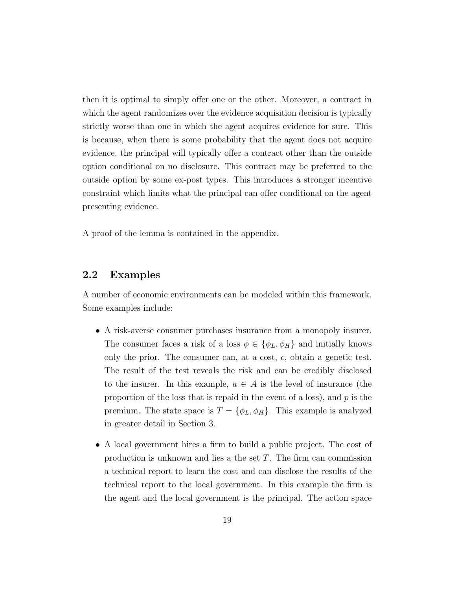then it is optimal to simply offer one or the other. Moreover, a contract in which the agent randomizes over the evidence acquisition decision is typically strictly worse than one in which the agent acquires evidence for sure. This is because, when there is some probability that the agent does not acquire evidence, the principal will typically offer a contract other than the outside option conditional on no disclosure. This contract may be preferred to the outside option by some ex-post types. This introduces a stronger incentive constraint which limits what the principal can offer conditional on the agent presenting evidence.

A proof of the lemma is contained in the appendix.

### 2.2 Examples

A number of economic environments can be modeled within this framework. Some examples include:

- A risk-averse consumer purchases insurance from a monopoly insurer. The consumer faces a risk of a loss  $\phi \in {\phi_L, \phi_H}$  and initially knows only the prior. The consumer can, at a cost, c, obtain a genetic test. The result of the test reveals the risk and can be credibly disclosed to the insurer. In this example,  $a \in A$  is the level of insurance (the proportion of the loss that is repaid in the event of a loss), and  $p$  is the premium. The state space is  $T = \{\phi_L, \phi_H\}$ . This example is analyzed in greater detail in Section 3.
- A local government hires a firm to build a public project. The cost of production is unknown and lies a the set T. The firm can commission a technical report to learn the cost and can disclose the results of the technical report to the local government. In this example the firm is the agent and the local government is the principal. The action space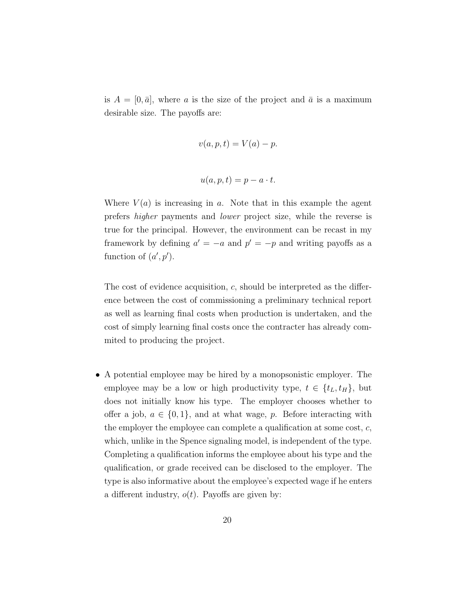is  $A = [0, \bar{a}]$ , where a is the size of the project and  $\bar{a}$  is a maximum desirable size. The payoffs are:

$$
v(a, p, t) = V(a) - p.
$$

$$
u(a, p, t) = p - a \cdot t.
$$

Where  $V(a)$  is increasing in a. Note that in this example the agent prefers higher payments and lower project size, while the reverse is true for the principal. However, the environment can be recast in my framework by defining  $a' = -a$  and  $p' = -p$  and writing payoffs as a function of  $(a', p')$ .

The cost of evidence acquisition, c, should be interpreted as the difference between the cost of commissioning a preliminary technical report as well as learning final costs when production is undertaken, and the cost of simply learning final costs once the contracter has already commited to producing the project.

• A potential employee may be hired by a monopsonistic employer. The employee may be a low or high productivity type,  $t \in \{t_L, t_H\}$ , but does not initially know his type. The employer chooses whether to offer a job,  $a \in \{0, 1\}$ , and at what wage, p. Before interacting with the employer the employee can complete a qualification at some cost,  $c$ , which, unlike in the Spence signaling model, is independent of the type. Completing a qualification informs the employee about his type and the qualification, or grade received can be disclosed to the employer. The type is also informative about the employee's expected wage if he enters a different industry,  $o(t)$ . Payoffs are given by: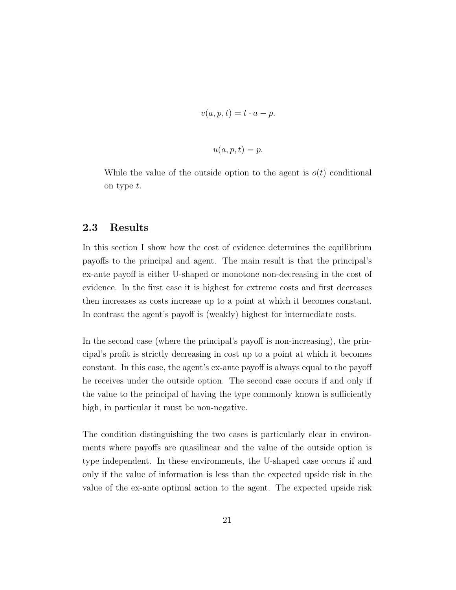$$
v(a, p, t) = t \cdot a - p.
$$

$$
u(a,p,t) = p.
$$

While the value of the outside option to the agent is  $o(t)$  conditional on type t.

### 2.3 Results

In this section I show how the cost of evidence determines the equilibrium payoffs to the principal and agent. The main result is that the principal's ex-ante payoff is either U-shaped or monotone non-decreasing in the cost of evidence. In the first case it is highest for extreme costs and first decreases then increases as costs increase up to a point at which it becomes constant. In contrast the agent's payoff is (weakly) highest for intermediate costs.

In the second case (where the principal's payoff is non-increasing), the principal's profit is strictly decreasing in cost up to a point at which it becomes constant. In this case, the agent's ex-ante payoff is always equal to the payoff he receives under the outside option. The second case occurs if and only if the value to the principal of having the type commonly known is sufficiently high, in particular it must be non-negative.

The condition distinguishing the two cases is particularly clear in environments where payoffs are quasilinear and the value of the outside option is type independent. In these environments, the U-shaped case occurs if and only if the value of information is less than the expected upside risk in the value of the ex-ante optimal action to the agent. The expected upside risk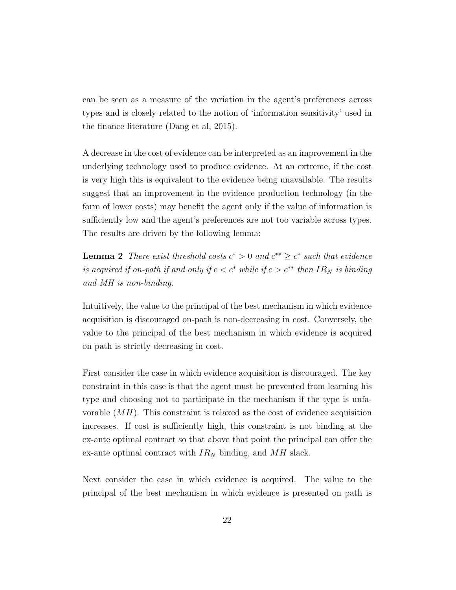can be seen as a measure of the variation in the agent's preferences across types and is closely related to the notion of 'information sensitivity' used in the finance literature (Dang et al, 2015).

A decrease in the cost of evidence can be interpreted as an improvement in the underlying technology used to produce evidence. At an extreme, if the cost is very high this is equivalent to the evidence being unavailable. The results suggest that an improvement in the evidence production technology (in the form of lower costs) may benefit the agent only if the value of information is sufficiently low and the agent's preferences are not too variable across types. The results are driven by the following lemma:

**Lemma 2** There exist threshold costs  $c^* > 0$  and  $c^{**} \ge c^*$  such that evidence is acquired if on-path if and only if  $c < c^*$  while if  $c > c^{**}$  then  $IR_N$  is binding and MH is non-binding.

Intuitively, the value to the principal of the best mechanism in which evidence acquisition is discouraged on-path is non-decreasing in cost. Conversely, the value to the principal of the best mechanism in which evidence is acquired on path is strictly decreasing in cost.

First consider the case in which evidence acquisition is discouraged. The key constraint in this case is that the agent must be prevented from learning his type and choosing not to participate in the mechanism if the type is unfavorable  $(MH)$ . This constraint is relaxed as the cost of evidence acquisition increases. If cost is sufficiently high, this constraint is not binding at the ex-ante optimal contract so that above that point the principal can offer the ex-ante optimal contract with  $IR_N$  binding, and  $MH$  slack.

Next consider the case in which evidence is acquired. The value to the principal of the best mechanism in which evidence is presented on path is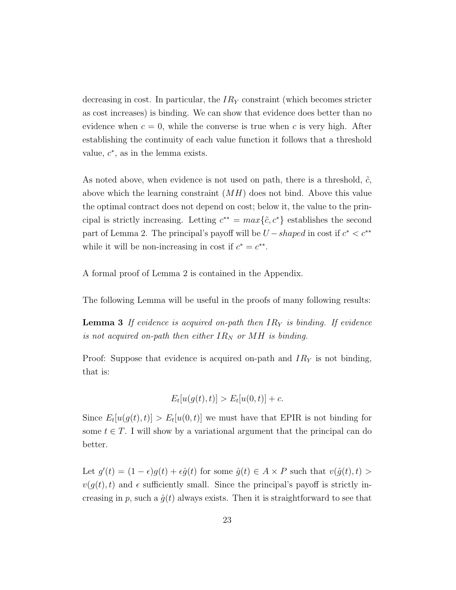decreasing in cost. In particular, the  $IR<sub>Y</sub>$  constraint (which becomes stricter as cost increases) is binding. We can show that evidence does better than no evidence when  $c = 0$ , while the converse is true when c is very high. After establishing the continuity of each value function it follows that a threshold value,  $c^*$ , as in the lemma exists.

As noted above, when evidence is not used on path, there is a threshold,  $\tilde{c}$ , above which the learning constraint  $(MH)$  does not bind. Above this value the optimal contract does not depend on cost; below it, the value to the principal is strictly increasing. Letting  $c^{**} = max\{\tilde{c}, c^*\}$  establishes the second part of Lemma 2. The principal's payoff will be  $U-shaped$  in cost if  $c^* < c^{**}$ while it will be non-increasing in cost if  $c^* = c^{**}$ .

A formal proof of Lemma 2 is contained in the Appendix.

The following Lemma will be useful in the proofs of many following results:

**Lemma 3** If evidence is acquired on-path then  $IR<sub>Y</sub>$  is binding. If evidence is not acquired on-path then either  $IR_N$  or MH is binding.

Proof: Suppose that evidence is acquired on-path and  $IR<sub>Y</sub>$  is not binding, that is:

$$
E_t[u(g(t),t)] > E_t[u(0,t)] + c.
$$

Since  $E_t[u(g(t), t)] > E_t[u(0, t)]$  we must have that EPIR is not binding for some  $t \in T$ . I will show by a variational argument that the principal can do better.

Let  $g'(t) = (1 - \epsilon)g(t) + \epsilon \hat{g}(t)$  for some  $\hat{g}(t) \in A \times P$  such that  $v(\hat{g}(t), t) >$  $v(q(t), t)$  and  $\epsilon$  sufficiently small. Since the principal's payoff is strictly increasing in p, such a  $\hat{q}(t)$  always exists. Then it is straightforward to see that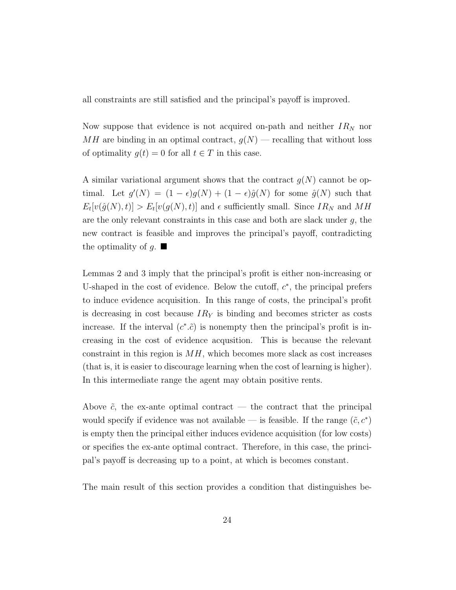all constraints are still satisfied and the principal's payoff is improved.

Now suppose that evidence is not acquired on-path and neither  $IR<sub>N</sub>$  nor  $MH$  are binding in an optimal contract,  $g(N)$  — recalling that without loss of optimality  $g(t) = 0$  for all  $t \in T$  in this case.

A similar variational argument shows that the contract  $g(N)$  cannot be optimal. Let  $g'(N) = (1 - \epsilon)g(N) + (1 - \epsilon)\hat{g}(N)$  for some  $\hat{g}(N)$  such that  $E_t[v(\hat{g}(N), t)] > E_t[v(g(N), t)]$  and  $\epsilon$  sufficiently small. Since  $IR_N$  and  $MH$ are the only relevant constraints in this case and both are slack under  $g$ , the new contract is feasible and improves the principal's payoff, contradicting the optimality of g.  $\blacksquare$ 

Lemmas 2 and 3 imply that the principal's profit is either non-increasing or U-shaped in the cost of evidence. Below the cutoff,  $c^*$ , the principal prefers to induce evidence acquisition. In this range of costs, the principal's profit is decreasing in cost because  $IR<sub>Y</sub>$  is binding and becomes stricter as costs increase. If the interval  $(c^*, \tilde{c})$  is nonempty then the principal's profit is increasing in the cost of evidence acqusition. This is because the relevant constraint in this region is  $MH$ , which becomes more slack as cost increases (that is, it is easier to discourage learning when the cost of learning is higher). In this intermediate range the agent may obtain positive rents.

Above  $\tilde{c}$ , the ex-ante optimal contract — the contract that the principal would specify if evidence was not available — is feasible. If the range  $(\tilde{c}, c^*)$ is empty then the principal either induces evidence acquisition (for low costs) or specifies the ex-ante optimal contract. Therefore, in this case, the principal's payoff is decreasing up to a point, at which is becomes constant.

The main result of this section provides a condition that distinguishes be-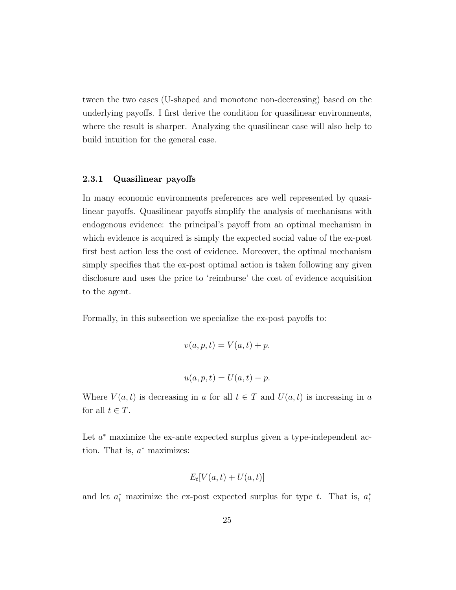tween the two cases (U-shaped and monotone non-decreasing) based on the underlying payoffs. I first derive the condition for quasilinear environments, where the result is sharper. Analyzing the quasilinear case will also help to build intuition for the general case.

#### 2.3.1 Quasilinear payoffs

In many economic environments preferences are well represented by quasilinear payoffs. Quasilinear payoffs simplify the analysis of mechanisms with endogenous evidence: the principal's payoff from an optimal mechanism in which evidence is acquired is simply the expected social value of the ex-post first best action less the cost of evidence. Moreover, the optimal mechanism simply specifies that the ex-post optimal action is taken following any given disclosure and uses the price to 'reimburse' the cost of evidence acquisition to the agent.

Formally, in this subsection we specialize the ex-post payoffs to:

$$
v(a, p, t) = V(a, t) + p.
$$

$$
u(a, p, t) = U(a, t) - p.
$$

Where  $V(a,t)$  is decreasing in a for all  $t \in T$  and  $U(a,t)$  is increasing in a for all  $t \in T$ .

Let  $a^*$  maximize the ex-ante expected surplus given a type-independent action. That is,  $a^*$  maximizes:

$$
E_t[V(a,t) + U(a,t)]
$$

and let  $a_t^*$  maximize the ex-post expected surplus for type t. That is,  $a_t^*$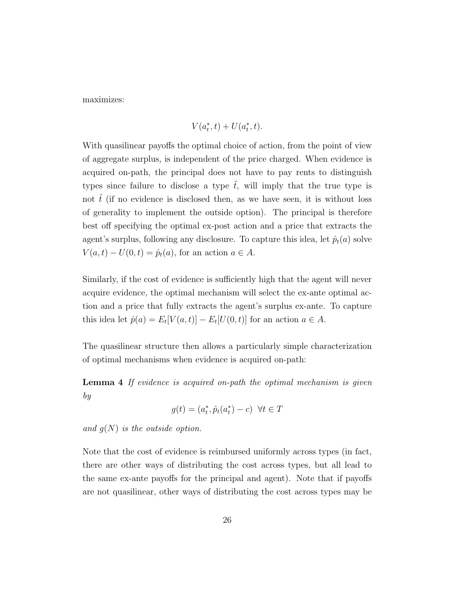maximizes:

$$
V(a_t^*, t) + U(a_t^*, t).
$$

With quasilinear payoffs the optimal choice of action, from the point of view of aggregate surplus, is independent of the price charged. When evidence is acquired on-path, the principal does not have to pay rents to distinguish types since failure to disclose a type  $\tilde{t}$ , will imply that the true type is not  $\tilde{t}$  (if no evidence is disclosed then, as we have seen, it is without loss of generality to implement the outside option). The principal is therefore best off specifying the optimal ex-post action and a price that extracts the agent's surplus, following any disclosure. To capture this idea, let  $\hat{p}_t(a)$  solve  $V(a,t) - U(0,t) = \hat{p}_t(a)$ , for an action  $a \in A$ .

Similarly, if the cost of evidence is sufficiently high that the agent will never acquire evidence, the optimal mechanism will select the ex-ante optimal action and a price that fully extracts the agent's surplus ex-ante. To capture this idea let  $\hat{p}(a) = E_t[V(a, t)] - E_t[U(0, t)]$  for an action  $a \in A$ .

The quasilinear structure then allows a particularly simple characterization of optimal mechanisms when evidence is acquired on-path:

**Lemma 4** If evidence is acquired on-path the optimal mechanism is given by

$$
g(t) = (a_t^*, \hat{p}_t(a_t^*) - c) \ \forall t \in T
$$

and  $q(N)$  is the outside option.

Note that the cost of evidence is reimbursed uniformly across types (in fact, there are other ways of distributing the cost across types, but all lead to the same ex-ante payoffs for the principal and agent). Note that if payoffs are not quasilinear, other ways of distributing the cost across types may be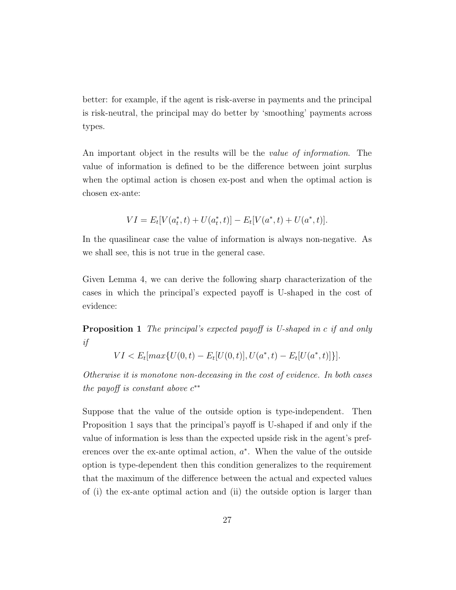better: for example, if the agent is risk-averse in payments and the principal is risk-neutral, the principal may do better by 'smoothing' payments across types.

An important object in the results will be the value of information. The value of information is defined to be the difference between joint surplus when the optimal action is chosen ex-post and when the optimal action is chosen ex-ante:

$$
VI = E_t[V(a_t^*, t) + U(a_t^*, t)] - E_t[V(a^*, t) + U(a^*, t)].
$$

In the quasilinear case the value of information is always non-negative. As we shall see, this is not true in the general case.

Given Lemma 4, we can derive the following sharp characterization of the cases in which the principal's expected payoff is U-shaped in the cost of evidence:

Proposition 1 The principal's expected payoff is U-shaped in c if and only if

$$
VI < E_t[\max\{U(0,t) - E_t[U(0,t)], U(a^*,t) - E_t[U(a^*,t)]\}].
$$

Otherwise it is monotone non-deceasing in the cost of evidence. In both cases the payoff is constant above  $c^{**}$ 

Suppose that the value of the outside option is type-independent. Then Proposition 1 says that the principal's payoff is U-shaped if and only if the value of information is less than the expected upside risk in the agent's preferences over the ex-ante optimal action,  $a^*$ . When the value of the outside option is type-dependent then this condition generalizes to the requirement that the maximum of the difference between the actual and expected values of (i) the ex-ante optimal action and (ii) the outside option is larger than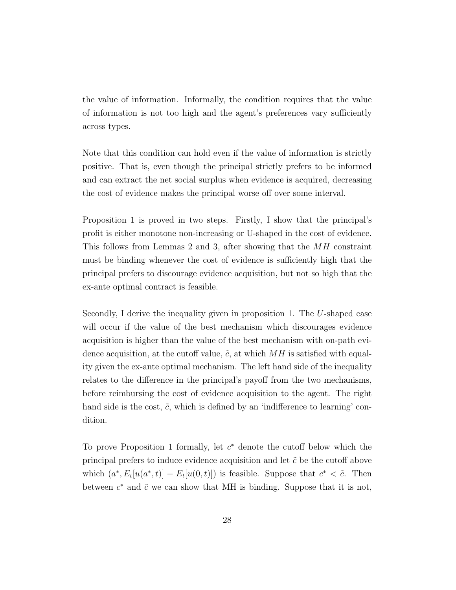the value of information. Informally, the condition requires that the value of information is not too high and the agent's preferences vary sufficiently across types.

Note that this condition can hold even if the value of information is strictly positive. That is, even though the principal strictly prefers to be informed and can extract the net social surplus when evidence is acquired, decreasing the cost of evidence makes the principal worse off over some interval.

Proposition 1 is proved in two steps. Firstly, I show that the principal's profit is either monotone non-increasing or U-shaped in the cost of evidence. This follows from Lemmas 2 and 3, after showing that the MH constraint must be binding whenever the cost of evidence is sufficiently high that the principal prefers to discourage evidence acquisition, but not so high that the ex-ante optimal contract is feasible.

Secondly, I derive the inequality given in proposition 1. The U-shaped case will occur if the value of the best mechanism which discourages evidence acquisition is higher than the value of the best mechanism with on-path evidence acquisition, at the cutoff value,  $\tilde{c}$ , at which  $MH$  is satisfied with equality given the ex-ante optimal mechanism. The left hand side of the inequality relates to the difference in the principal's payoff from the two mechanisms, before reimbursing the cost of evidence acquisition to the agent. The right hand side is the cost,  $\tilde{c}$ , which is defined by an 'indifference to learning' condition.

To prove Proposition 1 formally, let  $c^*$  denote the cutoff below which the principal prefers to induce evidence acquisition and let  $\tilde{c}$  be the cutoff above which  $(a^*, E_t[u(a^*, t)] - E_t[u(0, t)])$  is feasible. Suppose that  $c^* < \tilde{c}$ . Then between  $c^*$  and  $\tilde{c}$  we can show that MH is binding. Suppose that it is not,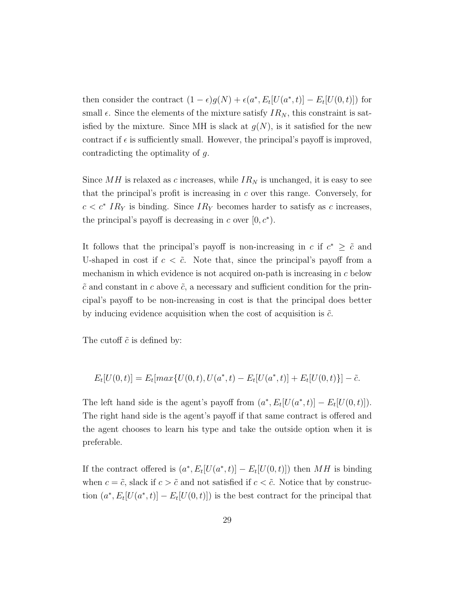then consider the contract  $(1 - \epsilon)g(N) + \epsilon(a^*, E_t[U(a^*, t)] - E_t[U(0, t)])$  for small  $\epsilon$ . Since the elements of the mixture satisfy  $IR_N$ , this constraint is satisfied by the mixture. Since MH is slack at  $g(N)$ , is it satisfied for the new contract if  $\epsilon$  is sufficiently small. However, the principal's payoff is improved, contradicting the optimality of g.

Since  $MH$  is relaxed as c increases, while  $IR_N$  is unchanged, it is easy to see that the principal's profit is increasing in  $c$  over this range. Conversely, for  $c < c^* IR_Y$  is binding. Since  $IR_Y$  becomes harder to satisfy as c increases, the principal's payoff is decreasing in c over  $[0, c^*).$ 

It follows that the principal's payoff is non-increasing in c if  $c^* \geq \tilde{c}$  and U-shaped in cost if  $c < \tilde{c}$ . Note that, since the principal's payoff from a mechanism in which evidence is not acquired on-path is increasing in c below  $\tilde{c}$  and constant in c above  $\tilde{c}$ , a necessary and sufficient condition for the principal's payoff to be non-increasing in cost is that the principal does better by inducing evidence acquisition when the cost of acquisition is  $\tilde{c}$ .

The cutoff  $\tilde{c}$  is defined by:

$$
E_t[U(0,t)] = E_t[max\{U(0,t), U(a^*, t) - E_t[U(a^*, t)] + E_t[U(0,t)\}] - \tilde{c}.
$$

The left hand side is the agent's payoff from  $(a^*, E_t[U(a^*, t)] - E_t[U(0, t)]$ . The right hand side is the agent's payoff if that same contract is offered and the agent chooses to learn his type and take the outside option when it is preferable.

If the contract offered is  $(a^*, E_t[U(a^*, t)] - E_t[U(0, t)])$  then MH is binding when  $c = \tilde{c}$ , slack if  $c > \tilde{c}$  and not satisfied if  $c < \tilde{c}$ . Notice that by construction  $(a^*, E_t[U(a^*, t)] - E_t[U(0, t)])$  is the best contract for the principal that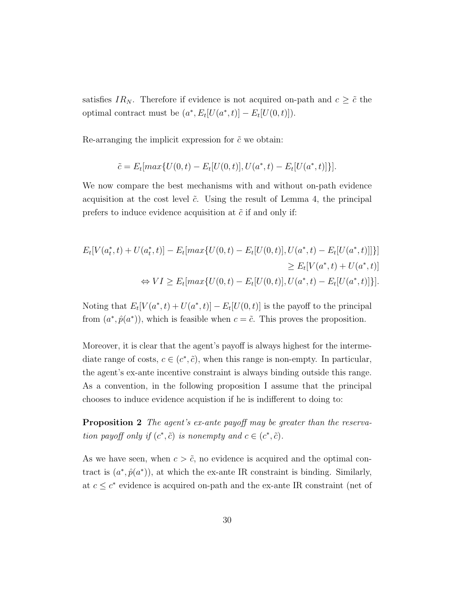satisfies  $IR_N$ . Therefore if evidence is not acquired on-path and  $c \geq \tilde{c}$  the optimal contract must be  $(a^*, E_t[U(a^*, t)] - E_t[U(0, t)]$ .

Re-arranging the implicit expression for  $\tilde{c}$  we obtain:

$$
\tilde{c} = E_t[max\{U(0,t) - E_t[U(0,t)], U(a^*,t) - E_t[U(a^*,t)]\}].
$$

We now compare the best mechanisms with and without on-path evidence acquisition at the cost level  $\tilde{c}$ . Using the result of Lemma 4, the principal prefers to induce evidence acquisition at  $\tilde{c}$  if and only if:

$$
E_t[V(a_t^*, t) + U(a_t^*, t)] - E_t[\max\{U(0, t) - E_t[U(0, t)], U(a^*, t) - E_t[U(a^*, t)]]\}
$$
  
\n
$$
\ge E_t[V(a^*, t) + U(a^*, t)]
$$
  
\n
$$
\Leftrightarrow VI \ge E_t[\max\{U(0, t) - E_t[U(0, t)], U(a^*, t) - E_t[U(a^*, t)]\}].
$$

Noting that  $E_t[V(a^*, t) + U(a^*, t)] - E_t[U(0, t)]$  is the payoff to the principal from  $(a^*, \hat{p}(a^*))$ , which is feasible when  $c = \tilde{c}$ . This proves the proposition.

Moreover, it is clear that the agent's payoff is always highest for the intermediate range of costs,  $c \in (c^*, \tilde{c})$ , when this range is non-empty. In particular, the agent's ex-ante incentive constraint is always binding outside this range. As a convention, in the following proposition I assume that the principal chooses to induce evidence acquistion if he is indifferent to doing to:

Proposition 2 The agent's ex-ante payoff may be greater than the reservation payoff only if  $(c^*, \tilde{c})$  is nonempty and  $c \in (c^*, \tilde{c})$ .

As we have seen, when  $c > \tilde{c}$ , no evidence is acquired and the optimal contract is  $(a^*, \hat{p}(a^*))$ , at which the ex-ante IR constraint is binding. Similarly, at  $c \leq c^*$  evidence is acquired on-path and the ex-ante IR constraint (net of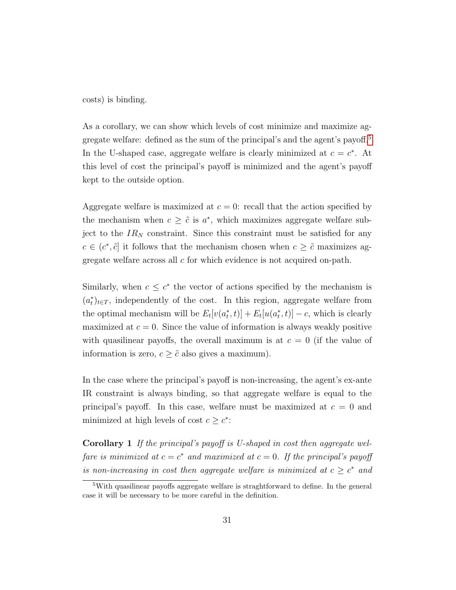costs) is binding.

As a corollary, we can show which levels of cost minimize and maximize ag-gregate welfare: defined as the sum of the principal's and the agent's payoff.<sup>[5](#page-30-0)</sup> In the U-shaped case, aggregate welfare is clearly minimized at  $c = c^*$ . At this level of cost the principal's payoff is minimized and the agent's payoff kept to the outside option.

Aggregate welfare is maximized at  $c = 0$ : recall that the action specified by the mechanism when  $c \geq \tilde{c}$  is  $a^*$ , which maximizes aggregate welfare subject to the  $IR_N$  constraint. Since this constraint must be satisfied for any  $c \in (c^*, \tilde{c}]$  it follows that the mechanism chosen when  $c \geq \tilde{c}$  maximizes aggregate welfare across all c for which evidence is not acquired on-path.

Similarly, when  $c \leq c^*$  the vector of actions specified by the mechanism is  $(a<sub>t</sub><sup>*</sup>)<sub>t</sub> \in T$ , independently of the cost. In this region, aggregate welfare from the optimal mechanism will be  $E_t[v(a_t^*, t)] + E_t[u(a_t^*, t)] - c$ , which is clearly maximized at  $c = 0$ . Since the value of information is always weakly positive with quasilinear payoffs, the overall maximum is at  $c = 0$  (if the value of information is zero,  $c \geq \tilde{c}$  also gives a maximum).

In the case where the principal's payoff is non-increasing, the agent's ex-ante IR constraint is always binding, so that aggregate welfare is equal to the principal's payoff. In this case, welfare must be maximized at  $c = 0$  and minimized at high levels of cost  $c \geq c^*$ :

Corollary 1 If the principal's payoff is U-shaped in cost then aggregate welfare is minimized at  $c = c^*$  and maximized at  $c = 0$ . If the principal's payoff is non-increasing in cost then aggregate welfare is minimized at  $c \geq c^*$  and

<span id="page-30-0"></span><sup>&</sup>lt;sup>5</sup>With quasilinear payoffs aggregate welfare is straghtforward to define. In the general case it will be necessary to be more careful in the definition.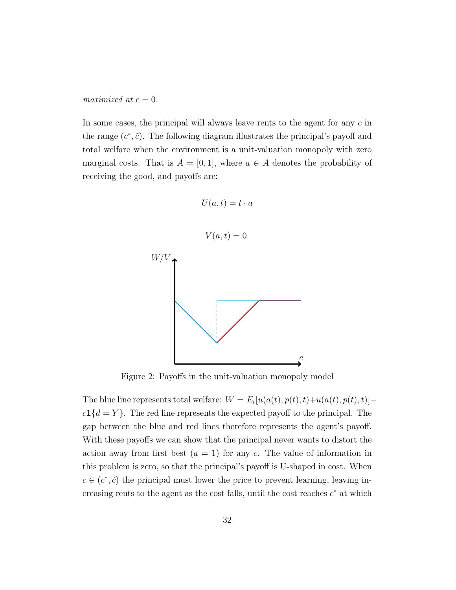maximized at  $c = 0$ .

In some cases, the principal will always leave rents to the agent for any c in the range  $(c^*, \tilde{c})$ . The following diagram illustrates the principal's payoff and total welfare when the environment is a unit-valuation monopoly with zero marginal costs. That is  $A = [0, 1]$ , where  $a \in A$  denotes the probability of receiving the good, and payoffs are:



Figure 2: Payoffs in the unit-valuation monopoly model

The blue line represents total welfare:  $W = E_t[u(a(t), p(t), t) + u(a(t), p(t), t)]$  $c1{d = Y}$ . The red line represents the expected payoff to the principal. The gap between the blue and red lines therefore represents the agent's payoff. With these payoffs we can show that the principal never wants to distort the action away from first best  $(a = 1)$  for any c. The value of information in this problem is zero, so that the principal's payoff is U-shaped in cost. When  $c \in (c^*, \tilde{c})$  the principal must lower the price to prevent learning, leaving increasing rents to the agent as the cost falls, until the cost reaches  $c^*$  at which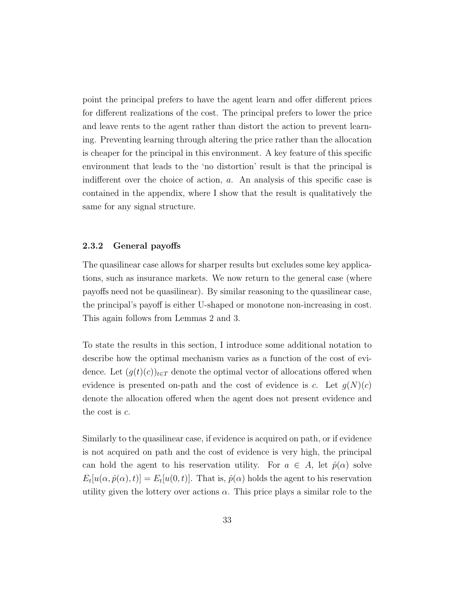point the principal prefers to have the agent learn and offer different prices for different realizations of the cost. The principal prefers to lower the price and leave rents to the agent rather than distort the action to prevent learning. Preventing learning through altering the price rather than the allocation is cheaper for the principal in this environment. A key feature of this specific environment that leads to the 'no distortion' result is that the principal is indifferent over the choice of action, a. An analysis of this specific case is contained in the appendix, where I show that the result is qualitatively the same for any signal structure.

#### 2.3.2 General payoffs

The quasilinear case allows for sharper results but excludes some key applications, such as insurance markets. We now return to the general case (where payoffs need not be quasilinear). By similar reasoning to the quasilinear case, the principal's payoff is either U-shaped or monotone non-increasing in cost. This again follows from Lemmas 2 and 3.

To state the results in this section, I introduce some additional notation to describe how the optimal mechanism varies as a function of the cost of evidence. Let  $(g(t)(c))_{t\in T}$  denote the optimal vector of allocations offered when evidence is presented on-path and the cost of evidence is c. Let  $q(N)(c)$ denote the allocation offered when the agent does not present evidence and the cost is c.

Similarly to the quasilinear case, if evidence is acquired on path, or if evidence is not acquired on path and the cost of evidence is very high, the principal can hold the agent to his reservation utility. For  $a \in A$ , let  $\hat{p}(\alpha)$  solve  $E_t[u(\alpha, \hat{p}(\alpha), t)] = E_t[u(0, t)].$  That is,  $\hat{p}(\alpha)$  holds the agent to his reservation utility given the lottery over actions  $\alpha$ . This price plays a similar role to the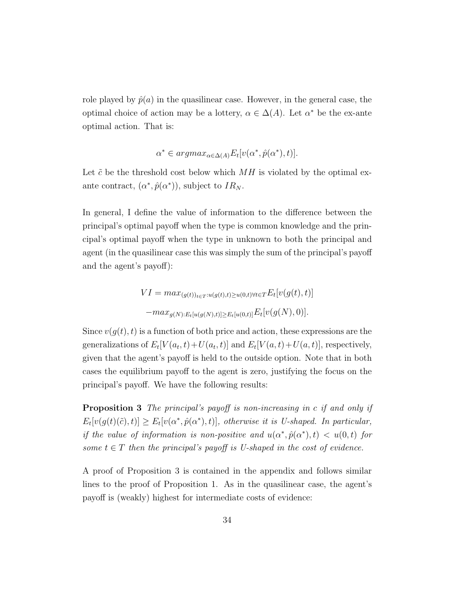role played by  $\hat{p}(a)$  in the quasilinear case. However, in the general case, the optimal choice of action may be a lottery,  $\alpha \in \Delta(A)$ . Let  $\alpha^*$  be the ex-ante optimal action. That is:

$$
\alpha^* \in argmax_{\alpha \in \Delta(A)} E_t[v(\alpha^*, \hat{p}(\alpha^*), t)].
$$

Let  $\tilde{c}$  be the threshold cost below which  $MH$  is violated by the optimal exante contract,  $(\alpha^*, \hat{p}(\alpha^*))$ , subject to  $IR_N$ .

In general, I define the value of information to the difference between the principal's optimal payoff when the type is common knowledge and the principal's optimal payoff when the type in unknown to both the principal and agent (in the quasilinear case this was simply the sum of the principal's payoff and the agent's payoff):

$$
VI = \max_{(g(t))_{t \in T}: u(g(t), t) \ge u(0, t) \forall t \in T} E_t[v(g(t), t)]
$$

$$
-\max_{g(N): E_t[u(g(N), t)] \ge E_t[u(0, t)]} E_t[v(g(N), 0)].
$$

Since  $v(g(t), t)$  is a function of both price and action, these expressions are the generalizations of  $E_t[V(a_t, t) + U(a_t, t)]$  and  $E_t[V(a, t) + U(a, t)]$ , respectively, given that the agent's payoff is held to the outside option. Note that in both cases the equilibrium payoff to the agent is zero, justifying the focus on the principal's payoff. We have the following results:

Proposition 3 The principal's payoff is non-increasing in c if and only if  $E_t[v(g(t)(\tilde{c}), t)] \ge E_t[v(\alpha^*, \hat{p}(\alpha^*), t)],$  otherwise it is U-shaped. In particular, if the value of information is non-positive and  $u(\alpha^*, \hat{p}(\alpha^*), t) < u(0,t)$  for some  $t \in T$  then the principal's payoff is U-shaped in the cost of evidence.

A proof of Proposition 3 is contained in the appendix and follows similar lines to the proof of Proposition 1. As in the quasilinear case, the agent's payoff is (weakly) highest for intermediate costs of evidence: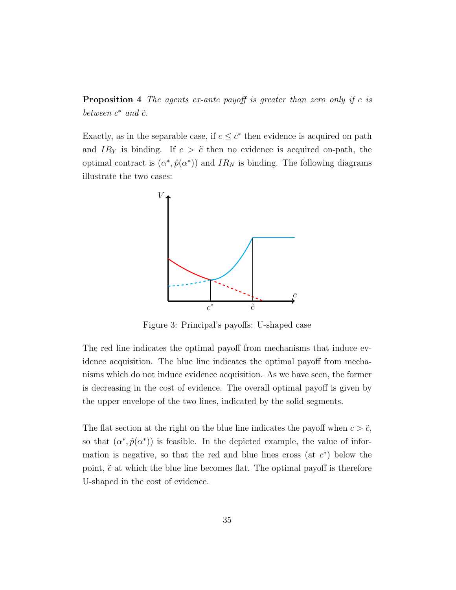**Proposition 4** The agents ex-ante payoff is greater than zero only if c is between  $c^*$  and  $\tilde{c}$ .

Exactly, as in the separable case, if  $c \leq c^*$  then evidence is acquired on path and  $IR<sub>Y</sub>$  is binding. If  $c > \tilde{c}$  then no evidence is acquired on-path, the optimal contract is  $(\alpha^*, \hat{p}(\alpha^*))$  and  $IR_N$  is binding. The following diagrams illustrate the two cases:



Figure 3: Principal's payoffs: U-shaped case

The red line indicates the optimal payoff from mechanisms that induce evidence acquisition. The blue line indicates the optimal payoff from mechanisms which do not induce evidence acquisition. As we have seen, the former is decreasing in the cost of evidence. The overall optimal payoff is given by the upper envelope of the two lines, indicated by the solid segments.

The flat section at the right on the blue line indicates the payoff when  $c > \tilde{c}$ , so that  $(\alpha^*, \hat{p}(\alpha^*))$  is feasible. In the depicted example, the value of information is negative, so that the red and blue lines cross (at  $c^*$ ) below the point,  $\tilde{c}$  at which the blue line becomes flat. The optimal payoff is therefore U-shaped in the cost of evidence.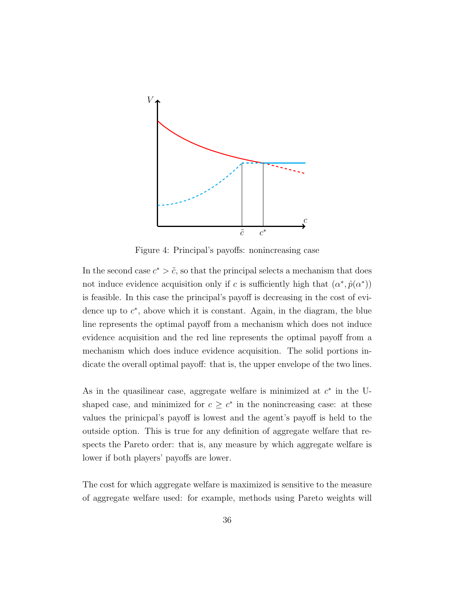

Figure 4: Principal's payoffs: nonincreasing case

In the second case  $c^* > \tilde{c}$ , so that the principal selects a mechanism that does not induce evidence acquisition only if c is sufficiently high that  $(\alpha^*, \hat{p}(\alpha^*))$ is feasible. In this case the principal's payoff is decreasing in the cost of evidence up to  $c^*$ , above which it is constant. Again, in the diagram, the blue line represents the optimal payoff from a mechanism which does not induce evidence acquisition and the red line represents the optimal payoff from a mechanism which does induce evidence acquisition. The solid portions indicate the overall optimal payoff: that is, the upper envelope of the two lines.

As in the quasilinear case, aggregate welfare is minimized at  $c^*$  in the Ushaped case, and minimized for  $c \geq c^*$  in the nonincreasing case: at these values the prinicpal's payoff is lowest and the agent's payoff is held to the outside option. This is true for any definition of aggregate welfare that respects the Pareto order: that is, any measure by which aggregate welfare is lower if both players' payoffs are lower.

The cost for which aggregate welfare is maximized is sensitive to the measure of aggregate welfare used: for example, methods using Pareto weights will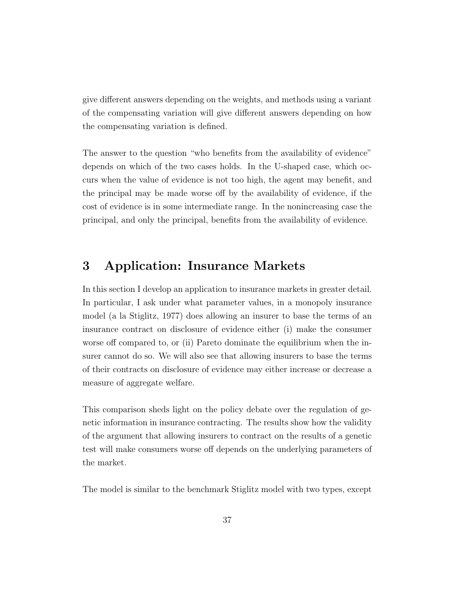give different answers depending on the weights, and methods using a variant of the compensating variation will give different answers depending on how the compensating variation is defined.

The answer to the question "who benefits from the availability of evidence" depends on which of the two cases holds. In the U-shaped case, which occurs when the value of evidence is not too high, the agent may benefit, and the principal may be made worse off by the availability of evidence, if the cost of evidence is in some intermediate range. In the nonincreasing case the principal, and only the principal, benefits from the availability of evidence.

# 3 Application: Insurance Markets

In this section I develop an application to insurance markets in greater detail. In particular, I ask under what parameter values, in a monopoly insurance model (a la Stiglitz, 1977) does allowing an insurer to base the terms of an insurance contract on disclosure of evidence either (i) make the consumer worse off compared to, or (ii) Pareto dominate the equilibrium when the insurer cannot do so. We will also see that allowing insurers to base the terms of their contracts on disclosure of evidence may either increase or decrease a measure of aggregate welfare.

This comparison sheds light on the policy debate over the regulation of genetic information in insurance contracting. The results show how the validity of the argument that allowing insurers to contract on the results of a genetic test will make consumers worse off depends on the underlying parameters of the market.

The model is similar to the benchmark Stiglitz model with two types, except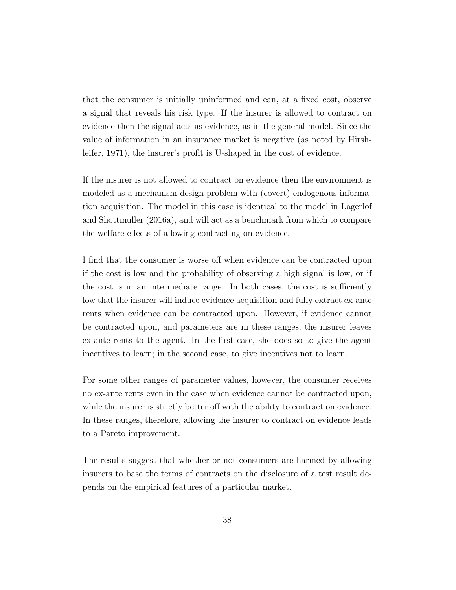that the consumer is initially uninformed and can, at a fixed cost, observe a signal that reveals his risk type. If the insurer is allowed to contract on evidence then the signal acts as evidence, as in the general model. Since the value of information in an insurance market is negative (as noted by Hirshleifer, 1971), the insurer's profit is U-shaped in the cost of evidence.

If the insurer is not allowed to contract on evidence then the environment is modeled as a mechanism design problem with (covert) endogenous information acquisition. The model in this case is identical to the model in Lagerlof and Shottmuller (2016a), and will act as a benchmark from which to compare the welfare effects of allowing contracting on evidence.

I find that the consumer is worse off when evidence can be contracted upon if the cost is low and the probability of observing a high signal is low, or if the cost is in an intermediate range. In both cases, the cost is sufficiently low that the insurer will induce evidence acquisition and fully extract ex-ante rents when evidence can be contracted upon. However, if evidence cannot be contracted upon, and parameters are in these ranges, the insurer leaves ex-ante rents to the agent. In the first case, she does so to give the agent incentives to learn; in the second case, to give incentives not to learn.

For some other ranges of parameter values, however, the consumer receives no ex-ante rents even in the case when evidence cannot be contracted upon, while the insurer is strictly better of f with the ability to contract on evidence. In these ranges, therefore, allowing the insurer to contract on evidence leads to a Pareto improvement.

The results suggest that whether or not consumers are harmed by allowing insurers to base the terms of contracts on the disclosure of a test result depends on the empirical features of a particular market.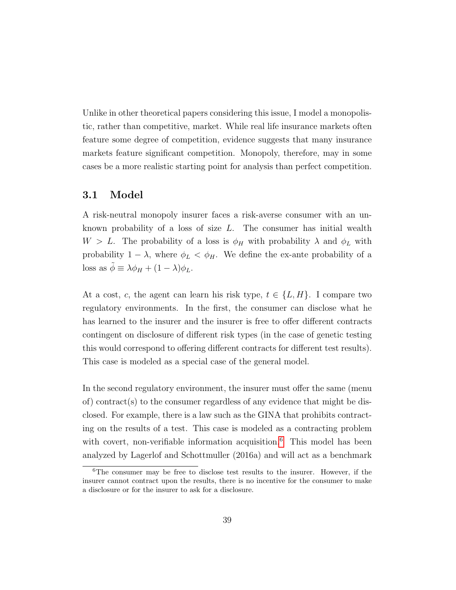Unlike in other theoretical papers considering this issue, I model a monopolistic, rather than competitive, market. While real life insurance markets often feature some degree of competition, evidence suggests that many insurance markets feature significant competition. Monopoly, therefore, may in some cases be a more realistic starting point for analysis than perfect competition.

### 3.1 Model

A risk-neutral monopoly insurer faces a risk-averse consumer with an unknown probability of a loss of size  $L$ . The consumer has initial wealth  $W > L$ . The probability of a loss is  $\phi_H$  with probability  $\lambda$  and  $\phi_L$  with probability  $1 - \lambda$ , where  $\phi_L < \phi_H$ . We define the ex-ante probability of a loss as  $\tilde{\phi} \equiv \lambda \phi_H + (1 - \lambda) \phi_L$ .

At a cost, c, the agent can learn his risk type,  $t \in \{L, H\}$ . I compare two regulatory environments. In the first, the consumer can disclose what he has learned to the insurer and the insurer is free to offer different contracts contingent on disclosure of different risk types (in the case of genetic testing this would correspond to offering different contracts for different test results). This case is modeled as a special case of the general model.

In the second regulatory environment, the insurer must offer the same (menu of) contract(s) to the consumer regardless of any evidence that might be disclosed. For example, there is a law such as the GINA that prohibits contracting on the results of a test. This case is modeled as a contracting problem with covert, non-verifiable information acquisition.<sup>[6](#page-38-0)</sup> This model has been analyzed by Lagerlof and Schottmuller (2016a) and will act as a benchmark

<span id="page-38-0"></span><sup>6</sup>The consumer may be free to disclose test results to the insurer. However, if the insurer cannot contract upon the results, there is no incentive for the consumer to make a disclosure or for the insurer to ask for a disclosure.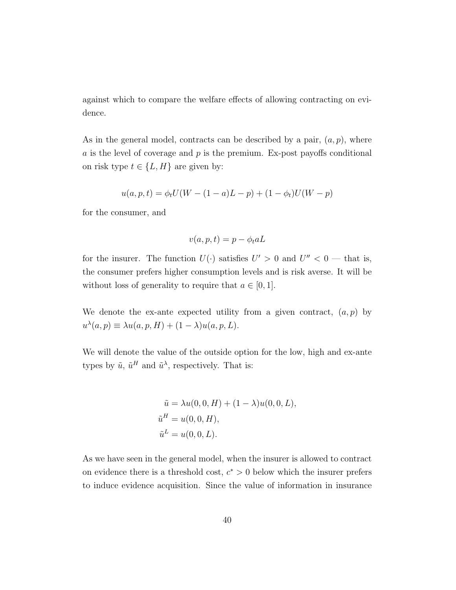against which to compare the welfare effects of allowing contracting on evidence.

As in the general model, contracts can be described by a pair,  $(a, p)$ , where a is the level of coverage and  $p$  is the premium. Ex-post payoffs conditional on risk type  $t \in \{L, H\}$  are given by:

$$
u(a, p, t) = \phi_t U(W - (1 - a)L - p) + (1 - \phi_t)U(W - p)
$$

for the consumer, and

$$
v(a, p, t) = p - \phi_t a L
$$

for the insurer. The function  $U(\cdot)$  satisfies  $U' > 0$  and  $U'' < 0$  — that is, the consumer prefers higher consumption levels and is risk averse. It will be without loss of generality to require that  $a \in [0, 1]$ .

We denote the ex-ante expected utility from a given contract,  $(a, p)$  by  $u^{\lambda}(a, p) \equiv \lambda u(a, p, H) + (1 - \lambda)u(a, p, L).$ 

We will denote the value of the outside option for the low, high and ex-ante types by  $\tilde{u}$ ,  $\tilde{u}^H$  and  $\tilde{u}^{\lambda}$ , respectively. That is:

$$
\tilde{u} = \lambda u(0, 0, H) + (1 - \lambda)u(0, 0, L),
$$
  
\n
$$
\tilde{u}^H = u(0, 0, H),
$$
  
\n
$$
\tilde{u}^L = u(0, 0, L).
$$

As we have seen in the general model, when the insurer is allowed to contract on evidence there is a threshold cost,  $c^* > 0$  below which the insurer prefers to induce evidence acquisition. Since the value of information in insurance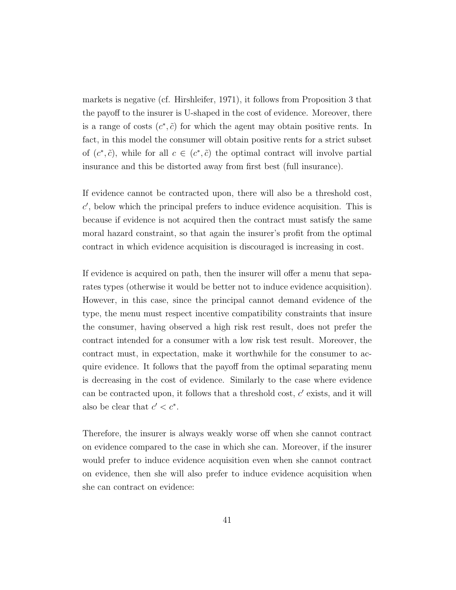markets is negative (cf. Hirshleifer, 1971), it follows from Proposition 3 that the payoff to the insurer is U-shaped in the cost of evidence. Moreover, there is a range of costs  $(c^*, \tilde{c})$  for which the agent may obtain positive rents. In fact, in this model the consumer will obtain positive rents for a strict subset of  $(c^*, \tilde{c})$ , while for all  $c \in (c^*, \tilde{c})$  the optimal contract will involve partial insurance and this be distorted away from first best (full insurance).

If evidence cannot be contracted upon, there will also be a threshold cost,  $c'$ , below which the principal prefers to induce evidence acquisition. This is because if evidence is not acquired then the contract must satisfy the same moral hazard constraint, so that again the insurer's profit from the optimal contract in which evidence acquisition is discouraged is increasing in cost.

If evidence is acquired on path, then the insurer will offer a menu that separates types (otherwise it would be better not to induce evidence acquisition). However, in this case, since the principal cannot demand evidence of the type, the menu must respect incentive compatibility constraints that insure the consumer, having observed a high risk rest result, does not prefer the contract intended for a consumer with a low risk test result. Moreover, the contract must, in expectation, make it worthwhile for the consumer to acquire evidence. It follows that the payoff from the optimal separating menu is decreasing in the cost of evidence. Similarly to the case where evidence can be contracted upon, it follows that a threshold cost,  $c'$  exists, and it will also be clear that  $c' < c^*$ .

Therefore, the insurer is always weakly worse off when she cannot contract on evidence compared to the case in which she can. Moreover, if the insurer would prefer to induce evidence acquisition even when she cannot contract on evidence, then she will also prefer to induce evidence acquisition when she can contract on evidence: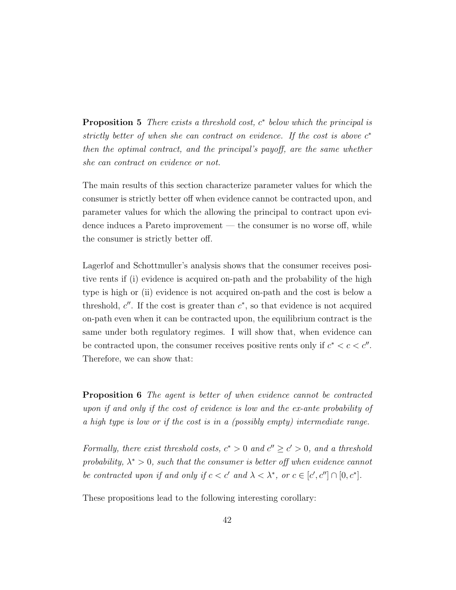**Proposition 5** There exists a threshold cost,  $c^*$  below which the principal is strictly better of when she can contract on evidence. If the cost is above  $c^*$ then the optimal contract, and the principal's payoff, are the same whether she can contract on evidence or not.

The main results of this section characterize parameter values for which the consumer is strictly better off when evidence cannot be contracted upon, and parameter values for which the allowing the principal to contract upon evidence induces a Pareto improvement — the consumer is no worse off, while the consumer is strictly better off.

Lagerlof and Schottmuller's analysis shows that the consumer receives positive rents if (i) evidence is acquired on-path and the probability of the high type is high or (ii) evidence is not acquired on-path and the cost is below a threshold,  $c''$ . If the cost is greater than  $c^*$ , so that evidence is not acquired on-path even when it can be contracted upon, the equilibrium contract is the same under both regulatory regimes. I will show that, when evidence can be contracted upon, the consumer receives positive rents only if  $c^* < c < c''$ . Therefore, we can show that:

Proposition 6 The agent is better of when evidence cannot be contracted upon if and only if the cost of evidence is low and the ex-ante probability of a high type is low or if the cost is in a (possibly empty) intermediate range.

Formally, there exist threshold costs,  $c^* > 0$  and  $c'' \ge c' > 0$ , and a threshold probability,  $\lambda^* > 0$ , such that the consumer is better off when evidence cannot be contracted upon if and only if  $c < c'$  and  $\lambda < \lambda^*$ , or  $c \in [c', c''] \cap [0, c^*]$ .

These propositions lead to the following interesting corollary: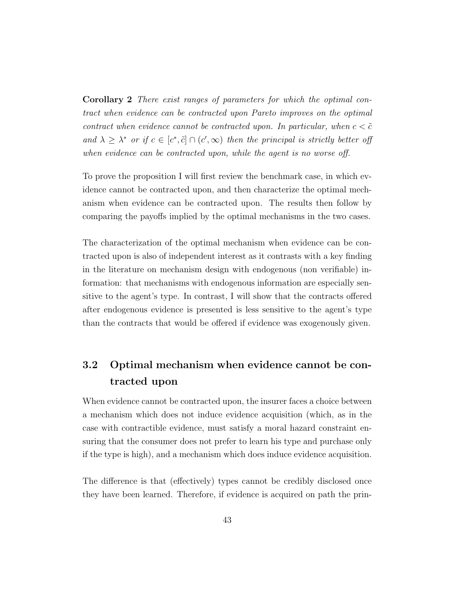Corollary 2 There exist ranges of parameters for which the optimal contract when evidence can be contracted upon Pareto improves on the optimal contract when evidence cannot be contracted upon. In particular, when  $c < \tilde{c}$ and  $\lambda \geq \lambda^*$  or if  $c \in [c^*, \tilde{c}] \cap (c', \infty)$  then the principal is strictly better off when evidence can be contracted upon, while the agent is no worse off.

To prove the proposition I will first review the benchmark case, in which evidence cannot be contracted upon, and then characterize the optimal mechanism when evidence can be contracted upon. The results then follow by comparing the payoffs implied by the optimal mechanisms in the two cases.

The characterization of the optimal mechanism when evidence can be contracted upon is also of independent interest as it contrasts with a key finding in the literature on mechanism design with endogenous (non verifiable) information: that mechanisms with endogenous information are especially sensitive to the agent's type. In contrast, I will show that the contracts offered after endogenous evidence is presented is less sensitive to the agent's type than the contracts that would be offered if evidence was exogenously given.

# 3.2 Optimal mechanism when evidence cannot be contracted upon

When evidence cannot be contracted upon, the insurer faces a choice between a mechanism which does not induce evidence acquisition (which, as in the case with contractible evidence, must satisfy a moral hazard constraint ensuring that the consumer does not prefer to learn his type and purchase only if the type is high), and a mechanism which does induce evidence acquisition.

The difference is that (effectively) types cannot be credibly disclosed once they have been learned. Therefore, if evidence is acquired on path the prin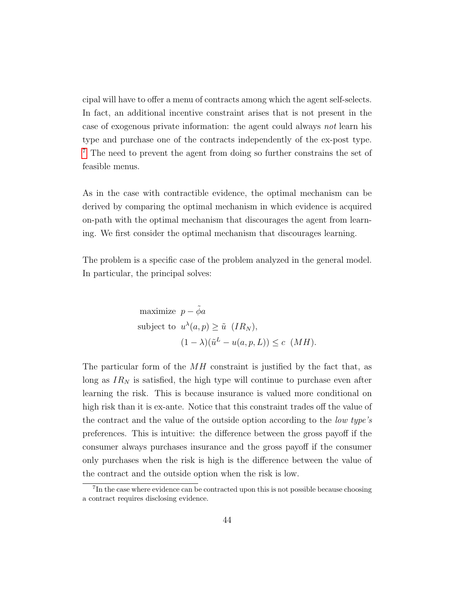cipal will have to offer a menu of contracts among which the agent self-selects. In fact, an additional incentive constraint arises that is not present in the case of exogenous private information: the agent could always not learn his type and purchase one of the contracts independently of the ex-post type. [7](#page-43-0) The need to prevent the agent from doing so further constrains the set of feasible menus.

As in the case with contractible evidence, the optimal mechanism can be derived by comparing the optimal mechanism in which evidence is acquired on-path with the optimal mechanism that discourages the agent from learning. We first consider the optimal mechanism that discourages learning.

The problem is a specific case of the problem analyzed in the general model. In particular, the principal solves:

maximize 
$$
p - \tilde{\phi}a
$$
  
\nsubject to  $u^{\lambda}(a, p) \ge \tilde{u}$   $(IR_N)$ ,  
\n $(1 - \lambda)(\tilde{u}^L - u(a, p, L)) \le c$   $(MH)$ .

The particular form of the  $MH$  constraint is justified by the fact that, as long as  $IR_N$  is satisfied, the high type will continue to purchase even after learning the risk. This is because insurance is valued more conditional on high risk than it is ex-ante. Notice that this constraint trades off the value of the contract and the value of the outside option according to the low type's preferences. This is intuitive: the difference between the gross payoff if the consumer always purchases insurance and the gross payoff if the consumer only purchases when the risk is high is the difference between the value of the contract and the outside option when the risk is low.

<span id="page-43-0"></span><sup>&</sup>lt;sup>7</sup>In the case where evidence can be contracted upon this is not possible because choosing a contract requires disclosing evidence.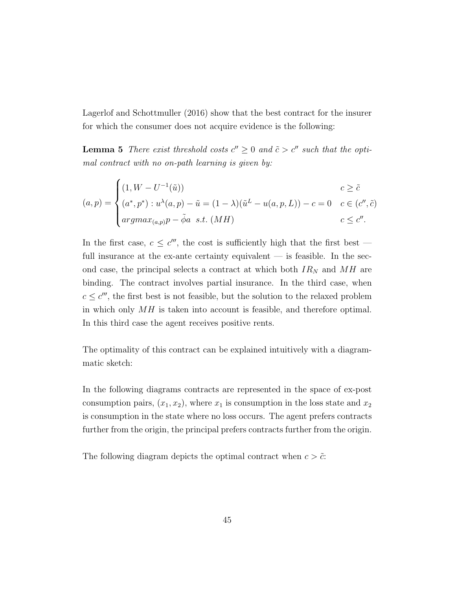Lagerlof and Schottmuller (2016) show that the best contract for the insurer for which the consumer does not acquire evidence is the following:

**Lemma 5** There exist threshold costs  $c'' \geq 0$  and  $\tilde{c} > c''$  such that the optimal contract with no on-path learning is given by:

$$
(a,p) = \begin{cases} (1, W - U^{-1}(\tilde{u})) & c \ge \tilde{c} \\ (a^*, p^*) : u^\lambda(a, p) - \tilde{u} = (1 - \lambda)(\tilde{u}^L - u(a, p, L)) - c = 0 & c \in (c'', \tilde{c}) \\ argmax_{(a,p)} p - \tilde{\phi}a \quad s.t. \ (MH) & c \le c''. \end{cases}
$$

In the first case,  $c \leq c^{\prime\prime\prime}$ , the cost is sufficiently high that the first best – full insurance at the ex-ante certainty equivalent  $-$  is feasible. In the second case, the principal selects a contract at which both  $IR_N$  and  $MH$  are binding. The contract involves partial insurance. In the third case, when  $c \leq c''$ , the first best is not feasible, but the solution to the relaxed problem in which only  $MH$  is taken into account is feasible, and therefore optimal. In this third case the agent receives positive rents.

The optimality of this contract can be explained intuitively with a diagrammatic sketch:

In the following diagrams contracts are represented in the space of ex-post consumption pairs,  $(x_1, x_2)$ , where  $x_1$  is consumption in the loss state and  $x_2$ is consumption in the state where no loss occurs. The agent prefers contracts further from the origin, the principal prefers contracts further from the origin.

The following diagram depicts the optimal contract when  $c > \tilde{c}$ .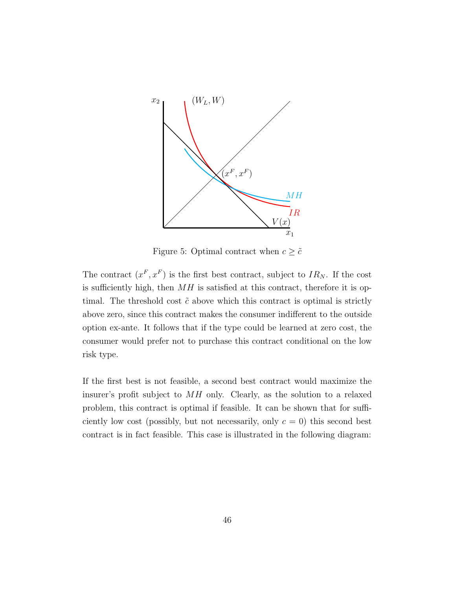

Figure 5: Optimal contract when  $c \geq \tilde{c}$ 

The contract  $(x^F, x^F)$  is the first best contract, subject to  $IR_N$ . If the cost is sufficiently high, then  $MH$  is satisfied at this contract, therefore it is optimal. The threshold cost  $\tilde{c}$  above which this contract is optimal is strictly above zero, since this contract makes the consumer indifferent to the outside option ex-ante. It follows that if the type could be learned at zero cost, the consumer would prefer not to purchase this contract conditional on the low risk type.

If the first best is not feasible, a second best contract would maximize the insurer's profit subject to MH only. Clearly, as the solution to a relaxed problem, this contract is optimal if feasible. It can be shown that for sufficiently low cost (possibly, but not necessarily, only  $c = 0$ ) this second best contract is in fact feasible. This case is illustrated in the following diagram: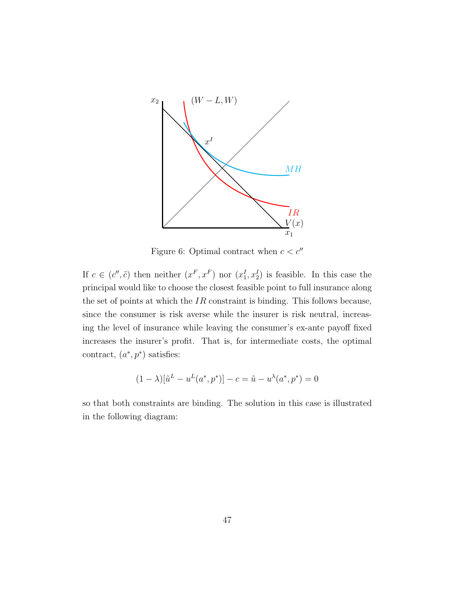

Figure 6: Optimal contract when  $c < c''$ 

If  $c \in (c'', \tilde{c})$  then neither  $(x^F, x^F)$  nor  $(x_1^I, x_2^I)$  is feasible. In this case the principal would like to choose the closest feasible point to full insurance along the set of points at which the  $IR$  constraint is binding. This follows because, since the consumer is risk averse while the insurer is risk neutral, increasing the level of insurance while leaving the consumer's ex-ante payoff fixed increases the insurer's profit. That is, for intermediate costs, the optimal contract,  $(a^*, p^*)$  satisfies:

$$
(1 - \lambda)[\tilde{u}^L - u^L(a^*, p^*)] - c = \tilde{u} - u^{\lambda}(a^*, p^*) = 0
$$

so that both constraints are binding. The solution in this case is illustrated in the following diagram: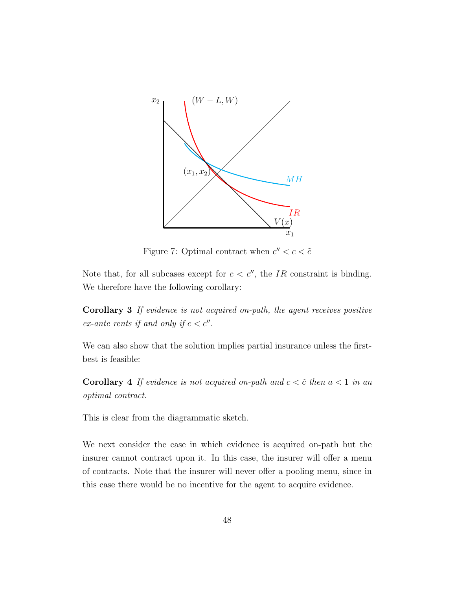

Figure 7: Optimal contract when  $c'' < c < \tilde{c}$ 

Note that, for all subcases except for  $c < c''$ , the IR constraint is binding. We therefore have the following corollary:

Corollary 3 If evidence is not acquired on-path, the agent receives positive ex-ante rents if and only if  $c < c''$ .

We can also show that the solution implies partial insurance unless the firstbest is feasible:

**Corollary 4** If evidence is not acquired on-path and  $c < \tilde{c}$  then  $a < 1$  in an optimal contract.

This is clear from the diagrammatic sketch.

We next consider the case in which evidence is acquired on-path but the insurer cannot contract upon it. In this case, the insurer will offer a menu of contracts. Note that the insurer will never offer a pooling menu, since in this case there would be no incentive for the agent to acquire evidence.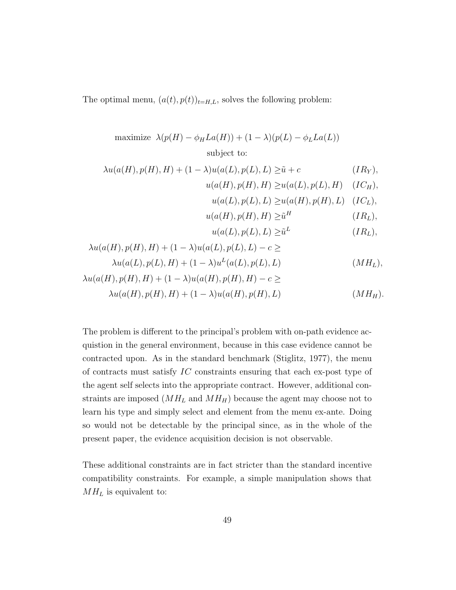The optimal menu,  $(a(t), p(t))_{t=H,L}$ , solves the following problem:

maximize 
$$
\lambda(p(H) - \phi_H La(H)) + (1 - \lambda)(p(L) - \phi_L La(L))
$$
  
subject to:

$$
\lambda u(a(H), p(H), H) + (1 - \lambda)u(a(L), p(L), L) \geq \tilde{u} + c \qquad (IR_Y),
$$

$$
u(a(H), p(H), H) \ge u(a(L), p(L), H) \quad (IC_H),
$$

$$
u(a(L), p(L), L) \ge u(a(H), p(H), L) \quad (ICL),
$$

$$
u(a(H), p(H), H) \geq \tilde{u}^H \qquad (IR_L),
$$

$$
u(a(L), p(L), L) \geq \tilde{u}^{L} \qquad (IR_L),
$$

$$
\lambda u(a(H), p(H), H) + (1 - \lambda)u(a(L), p(L), L) - c \ge
$$

$$
\lambda u(a(L), p(L), H) + (1 - \lambda)u^{L}(a(L), p(L), L) \qquad (MH_L),
$$

$$
\lambda u(a(H), p(H), H) + (1 - \lambda)u(a(H), p(H), H) - c \ge
$$
  

$$
\lambda u(a(H), p(H), H) + (1 - \lambda)u(a(H), p(H), L)
$$
 (MH<sub>H</sub>).

The problem is different to the principal's problem with on-path evidence acquistion in the general environment, because in this case evidence cannot be contracted upon. As in the standard benchmark (Stiglitz, 1977), the menu of contracts must satisfy IC constraints ensuring that each ex-post type of the agent self selects into the appropriate contract. However, additional constraints are imposed  $(MH_L$  and  $MH_H)$  because the agent may choose not to learn his type and simply select and element from the menu ex-ante. Doing so would not be detectable by the principal since, as in the whole of the present paper, the evidence acquisition decision is not observable.

These additional constraints are in fact stricter than the standard incentive compatibility constraints. For example, a simple manipulation shows that  $MH_L$  is equivalent to: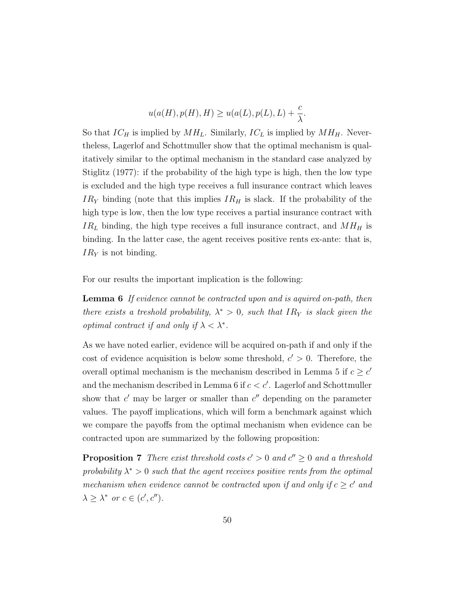$$
u(a(H), p(H), H) \ge u(a(L), p(L), L) + \frac{c}{\lambda}.
$$

So that  $IC_H$  is implied by  $MH_L$ . Similarly,  $IC_L$  is implied by  $MH_H$ . Nevertheless, Lagerlof and Schottmuller show that the optimal mechanism is qualitatively similar to the optimal mechanism in the standard case analyzed by Stiglitz (1977): if the probability of the high type is high, then the low type is excluded and the high type receives a full insurance contract which leaves  $IR<sub>Y</sub>$  binding (note that this implies  $IR<sub>H</sub>$  is slack. If the probability of the high type is low, then the low type receives a partial insurance contract with  $IR<sub>L</sub>$  binding, the high type receives a full insurance contract, and  $MH<sub>H</sub>$  is binding. In the latter case, the agent receives positive rents ex-ante: that is,  $IR<sub>Y</sub>$  is not binding.

For our results the important implication is the following:

Lemma 6 If evidence cannot be contracted upon and is aquired on-path, then there exists a treshold probability,  $\lambda^* > 0$ , such that IR<sub>Y</sub> is slack given the *optimal contract if and only if*  $\lambda < \lambda^*$ .

As we have noted earlier, evidence will be acquired on-path if and only if the cost of evidence acquisition is below some threshold,  $c' > 0$ . Therefore, the overall optimal mechanism is the mechanism described in Lemma 5 if  $c \geq c'$ and the mechanism described in Lemma 6 if  $c < c'$ . Lagerlof and Schottmuller show that  $c'$  may be larger or smaller than  $c''$  depending on the parameter values. The payoff implications, which will form a benchmark against which we compare the payoffs from the optimal mechanism when evidence can be contracted upon are summarized by the following proposition:

**Proposition 7** There exist threshold costs  $c' > 0$  and  $c'' \geq 0$  and a threshold probability  $\lambda^* > 0$  such that the agent receives positive rents from the optimal mechanism when evidence cannot be contracted upon if and only if  $c \geq c'$  and  $\lambda \geq \lambda^*$  or  $c \in (c', c'').$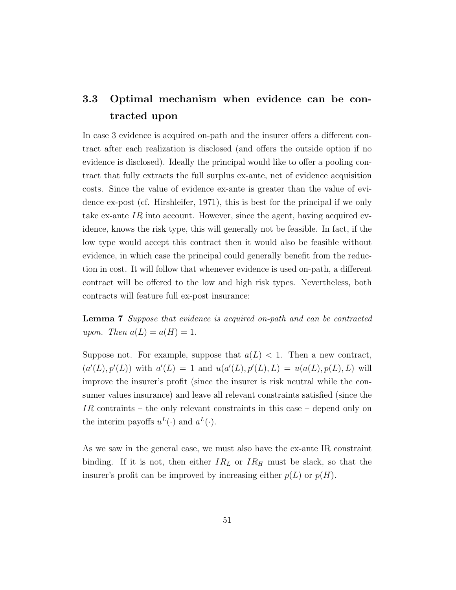# 3.3 Optimal mechanism when evidence can be contracted upon

In case 3 evidence is acquired on-path and the insurer offers a different contract after each realization is disclosed (and offers the outside option if no evidence is disclosed). Ideally the principal would like to offer a pooling contract that fully extracts the full surplus ex-ante, net of evidence acquisition costs. Since the value of evidence ex-ante is greater than the value of evidence ex-post (cf. Hirshleifer, 1971), this is best for the principal if we only take ex-ante IR into account. However, since the agent, having acquired evidence, knows the risk type, this will generally not be feasible. In fact, if the low type would accept this contract then it would also be feasible without evidence, in which case the principal could generally benefit from the reduction in cost. It will follow that whenever evidence is used on-path, a different contract will be offered to the low and high risk types. Nevertheless, both contracts will feature full ex-post insurance:

Lemma 7 Suppose that evidence is acquired on-path and can be contracted upon. Then  $a(L) = a(H) = 1$ .

Suppose not. For example, suppose that  $a(L) < 1$ . Then a new contract,  $(a'(L), p'(L))$  with  $a'(L) = 1$  and  $u(a'(L), p'(L), L) = u(a(L), p(L), L)$  will improve the insurer's profit (since the insurer is risk neutral while the consumer values insurance) and leave all relevant constraints satisfied (since the IR contraints – the only relevant constraints in this case – depend only on the interim payoffs  $u^L(\cdot)$  and  $a^L(\cdot)$ .

As we saw in the general case, we must also have the ex-ante IR constraint binding. If it is not, then either  $IR_L$  or  $IR_H$  must be slack, so that the insurer's profit can be improved by increasing either  $p(L)$  or  $p(H)$ .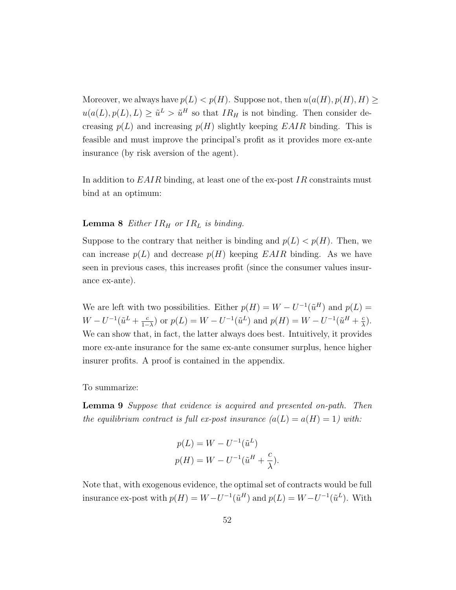Moreover, we always have  $p(L) < p(H)$ . Suppose not, then  $u(a(H), p(H), H) \ge$  $u(a(L), p(L), L) \geq \tilde{u}^{L} > \tilde{u}^{H}$  so that  $IR_{H}$  is not binding. Then consider decreasing  $p(L)$  and increasing  $p(H)$  slightly keeping EAIR binding. This is feasible and must improve the principal's profit as it provides more ex-ante insurance (by risk aversion of the agent).

In addition to  $E A I R$  binding, at least one of the ex-post  $I R$  constraints must bind at an optimum:

#### **Lemma 8** Either  $IR_H$  or  $IR_L$  is binding.

Suppose to the contrary that neither is binding and  $p(L) < p(H)$ . Then, we can increase  $p(L)$  and decrease  $p(H)$  keeping  $EAIR$  binding. As we have seen in previous cases, this increases profit (since the consumer values insurance ex-ante).

We are left with two possibilities. Either  $p(H) = W - U^{-1}(\tilde{u}^H)$  and  $p(L) =$  $W - U^{-1}(\tilde{u}^L + \frac{c}{1 - c})$  $\frac{c}{1-\lambda}$ ) or  $p(L) = W - U^{-1}(\tilde{u}^L)$  and  $p(H) = W - U^{-1}(\tilde{u}^H + \frac{c}{\lambda})$  $\frac{c}{\lambda}$ ). We can show that, in fact, the latter always does best. Intuitively, it provides more ex-ante insurance for the same ex-ante consumer surplus, hence higher insurer profits. A proof is contained in the appendix.

To summarize:

Lemma 9 Suppose that evidence is acquired and presented on-path. Then the equilibrium contract is full ex-post insurance  $(a(L) = a(H) = 1)$  with:

$$
p(L) = W - U^{-1}(\tilde{u}^L)
$$
  

$$
p(H) = W - U^{-1}(\tilde{u}^H + \frac{c}{\lambda}).
$$

Note that, with exogenous evidence, the optimal set of contracts would be full insurance ex-post with  $p(H) = W - U^{-1}(\tilde{u}^H)$  and  $p(L) = W - U^{-1}(\tilde{u}^L)$ . With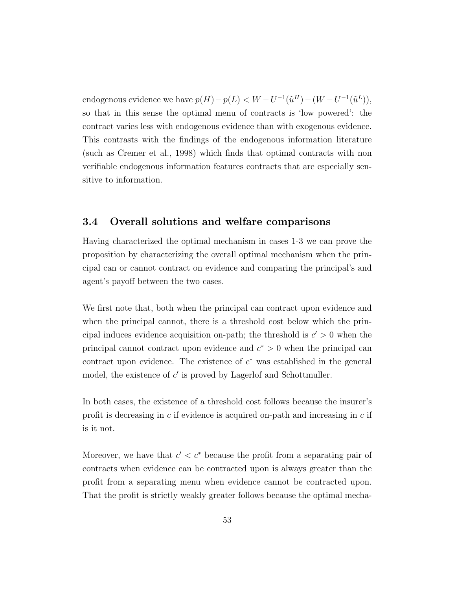endogenous evidence we have  $p(H) - p(L) < W - U^{-1}(\tilde{u}^H) - (W - U^{-1}(\tilde{u}^L)),$ so that in this sense the optimal menu of contracts is 'low powered': the contract varies less with endogenous evidence than with exogenous evidence. This contrasts with the findings of the endogenous information literature (such as Cremer et al., 1998) which finds that optimal contracts with non verifiable endogenous information features contracts that are especially sensitive to information.

### 3.4 Overall solutions and welfare comparisons

Having characterized the optimal mechanism in cases 1-3 we can prove the proposition by characterizing the overall optimal mechanism when the principal can or cannot contract on evidence and comparing the principal's and agent's payoff between the two cases.

We first note that, both when the principal can contract upon evidence and when the principal cannot, there is a threshold cost below which the principal induces evidence acquisition on-path; the threshold is  $c' > 0$  when the principal cannot contract upon evidence and  $c^* > 0$  when the principal can contract upon evidence. The existence of  $c^*$  was established in the general model, the existence of  $c'$  is proved by Lagerlof and Schottmuller.

In both cases, the existence of a threshold cost follows because the insurer's profit is decreasing in  $c$  if evidence is acquired on-path and increasing in  $c$  if is it not.

Moreover, we have that  $c' < c^*$  because the profit from a separating pair of contracts when evidence can be contracted upon is always greater than the profit from a separating menu when evidence cannot be contracted upon. That the profit is strictly weakly greater follows because the optimal mecha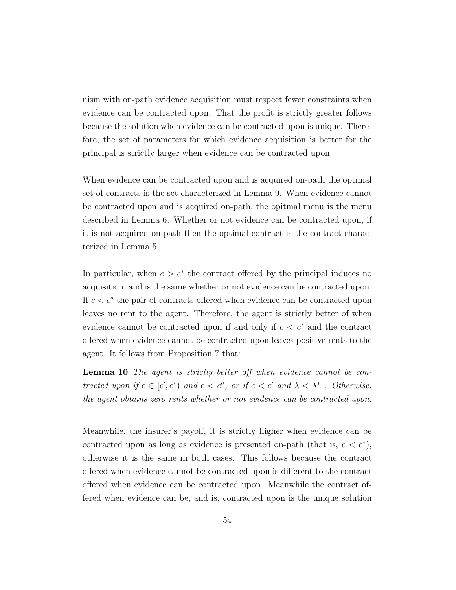nism with on-path evidence acquisition must respect fewer constraints when evidence can be contracted upon. That the profit is strictly greater follows because the solution when evidence can be contracted upon is unique. Therefore, the set of parameters for which evidence acquisition is better for the principal is strictly larger when evidence can be contracted upon.

When evidence can be contracted upon and is acquired on-path the optimal set of contracts is the set characterized in Lemma 9. When evidence cannot be contracted upon and is acquired on-path, the opitmal menu is the menu described in Lemma 6. Whether or not evidence can be contracted upon, if it is not acquired on-path then the optimal contract is the contract characterized in Lemma 5.

In particular, when  $c > c^*$  the contract offered by the principal induces no acquisition, and is the same whether or not evidence can be contracted upon. If  $c < c^*$  the pair of contracts offered when evidence can be contracted upon leaves no rent to the agent. Therefore, the agent is strictly better of when evidence cannot be contracted upon if and only if  $c < c^*$  and the contract offered when evidence cannot be contracted upon leaves positive rents to the agent. It follows from Proposition 7 that:

Lemma 10 The agent is strictly better off when evidence cannot be contracted upon if  $c \in [c', c^*)$  and  $c < c''$ , or if  $c < c'$  and  $\lambda < \lambda^*$ . Otherwise, the agent obtains zero rents whether or not evidence can be contracted upon.

Meanwhile, the insurer's payoff, it is strictly higher when evidence can be contracted upon as long as evidence is presented on-path (that is,  $c < c^*$ ), otherwise it is the same in both cases. This follows because the contract offered when evidence cannot be contracted upon is different to the contract offered when evidence can be contracted upon. Meanwhile the contract offered when evidence can be, and is, contracted upon is the unique solution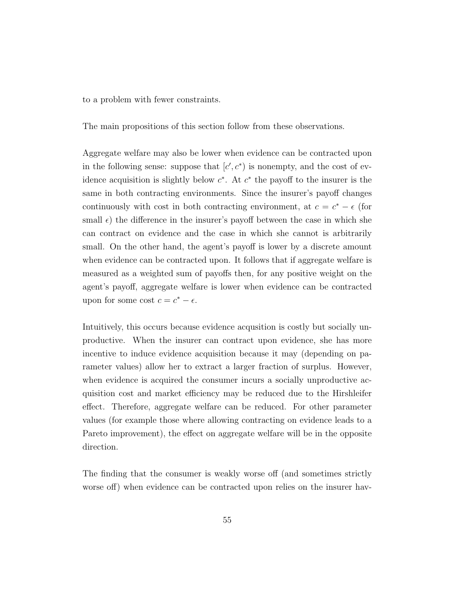to a problem with fewer constraints.

The main propositions of this section follow from these observations.

Aggregate welfare may also be lower when evidence can be contracted upon in the following sense: suppose that  $[c', c^*)$  is nonempty, and the cost of evidence acquisition is slightly below  $c^*$ . At  $c^*$  the payoff to the insurer is the same in both contracting environments. Since the insurer's payoff changes continuously with cost in both contracting environment, at  $c = c^* - \epsilon$  (for small  $\epsilon$ ) the difference in the insurer's payoff between the case in which she can contract on evidence and the case in which she cannot is arbitrarily small. On the other hand, the agent's payoff is lower by a discrete amount when evidence can be contracted upon. It follows that if aggregate welfare is measured as a weighted sum of payoffs then, for any positive weight on the agent's payoff, aggregate welfare is lower when evidence can be contracted upon for some cost  $c = c^* - \epsilon$ .

Intuitively, this occurs because evidence acqusition is costly but socially unproductive. When the insurer can contract upon evidence, she has more incentive to induce evidence acquisition because it may (depending on parameter values) allow her to extract a larger fraction of surplus. However, when evidence is acquired the consumer incurs a socially unproductive acquisition cost and market efficiency may be reduced due to the Hirshleifer effect. Therefore, aggregate welfare can be reduced. For other parameter values (for example those where allowing contracting on evidence leads to a Pareto improvement), the effect on aggregate welfare will be in the opposite direction.

The finding that the consumer is weakly worse off (and sometimes strictly worse off) when evidence can be contracted upon relies on the insurer hav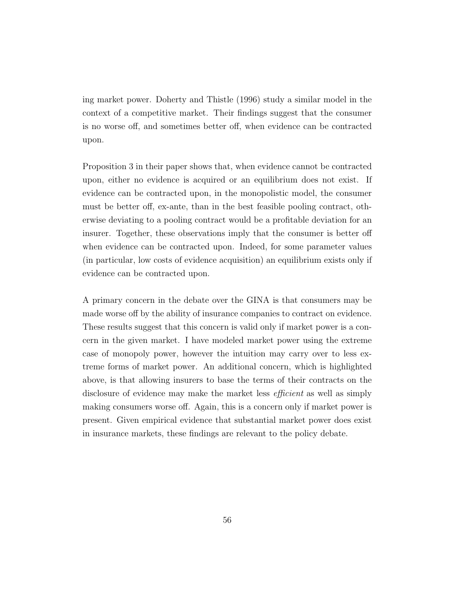ing market power. Doherty and Thistle (1996) study a similar model in the context of a competitive market. Their findings suggest that the consumer is no worse off, and sometimes better off, when evidence can be contracted upon.

Proposition 3 in their paper shows that, when evidence cannot be contracted upon, either no evidence is acquired or an equilibrium does not exist. If evidence can be contracted upon, in the monopolistic model, the consumer must be better off, ex-ante, than in the best feasible pooling contract, otherwise deviating to a pooling contract would be a profitable deviation for an insurer. Together, these observations imply that the consumer is better off when evidence can be contracted upon. Indeed, for some parameter values (in particular, low costs of evidence acquisition) an equilibrium exists only if evidence can be contracted upon.

A primary concern in the debate over the GINA is that consumers may be made worse off by the ability of insurance companies to contract on evidence. These results suggest that this concern is valid only if market power is a concern in the given market. I have modeled market power using the extreme case of monopoly power, however the intuition may carry over to less extreme forms of market power. An additional concern, which is highlighted above, is that allowing insurers to base the terms of their contracts on the disclosure of evidence may make the market less *efficient* as well as simply making consumers worse off. Again, this is a concern only if market power is present. Given empirical evidence that substantial market power does exist in insurance markets, these findings are relevant to the policy debate.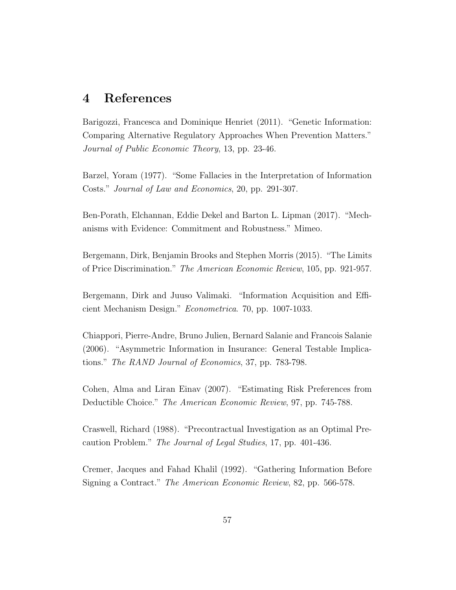### 4 References

Barigozzi, Francesca and Dominique Henriet (2011). "Genetic Information: Comparing Alternative Regulatory Approaches When Prevention Matters." Journal of Public Economic Theory, 13, pp. 23-46.

Barzel, Yoram (1977). "Some Fallacies in the Interpretation of Information Costs." Journal of Law and Economics, 20, pp. 291-307.

Ben-Porath, Elchannan, Eddie Dekel and Barton L. Lipman (2017). "Mechanisms with Evidence: Commitment and Robustness." Mimeo.

Bergemann, Dirk, Benjamin Brooks and Stephen Morris (2015). "The Limits of Price Discrimination." The American Economic Review, 105, pp. 921-957.

Bergemann, Dirk and Juuso Valimaki. "Information Acquisition and Efficient Mechanism Design." Econometrica. 70, pp. 1007-1033.

Chiappori, Pierre-Andre, Bruno Julien, Bernard Salanie and Francois Salanie (2006). "Asymmetric Information in Insurance: General Testable Implications." The RAND Journal of Economics, 37, pp. 783-798.

Cohen, Alma and Liran Einav (2007). "Estimating Risk Preferences from Deductible Choice." The American Economic Review, 97, pp. 745-788.

Craswell, Richard (1988). "Precontractual Investigation as an Optimal Precaution Problem." The Journal of Legal Studies, 17, pp. 401-436.

Cremer, Jacques and Fahad Khalil (1992). "Gathering Information Before Signing a Contract." The American Economic Review, 82, pp. 566-578.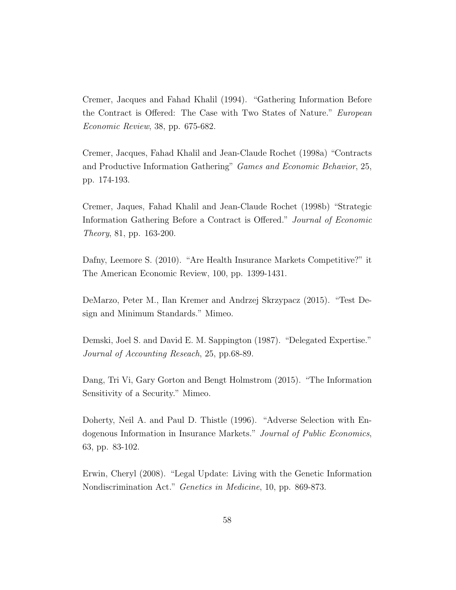Cremer, Jacques and Fahad Khalil (1994). "Gathering Information Before the Contract is Offered: The Case with Two States of Nature." European Economic Review, 38, pp. 675-682.

Cremer, Jacques, Fahad Khalil and Jean-Claude Rochet (1998a) "Contracts and Productive Information Gathering" Games and Economic Behavior, 25, pp. 174-193.

Cremer, Jaques, Fahad Khalil and Jean-Claude Rochet (1998b) "Strategic Information Gathering Before a Contract is Offered." Journal of Economic Theory, 81, pp. 163-200.

Dafny, Leemore S. (2010). "Are Health Insurance Markets Competitive?" it The American Economic Review, 100, pp. 1399-1431.

DeMarzo, Peter M., Ilan Kremer and Andrzej Skrzypacz (2015). "Test Design and Minimum Standards." Mimeo.

Demski, Joel S. and David E. M. Sappington (1987). "Delegated Expertise." Journal of Accounting Reseach, 25, pp.68-89.

Dang, Tri Vi, Gary Gorton and Bengt Holmstrom (2015). "The Information Sensitivity of a Security." Mimeo.

Doherty, Neil A. and Paul D. Thistle (1996). "Adverse Selection with Endogenous Information in Insurance Markets." Journal of Public Economics, 63, pp. 83-102.

Erwin, Cheryl (2008). "Legal Update: Living with the Genetic Information Nondiscrimination Act." Genetics in Medicine, 10, pp. 869-873.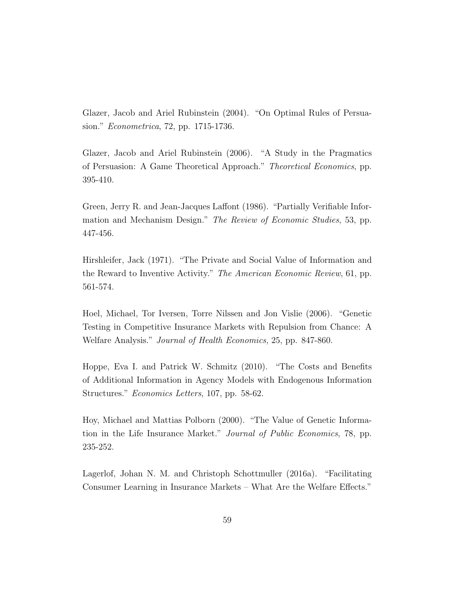Glazer, Jacob and Ariel Rubinstein (2004). "On Optimal Rules of Persuasion." Econometrica, 72, pp. 1715-1736.

Glazer, Jacob and Ariel Rubinstein (2006). "A Study in the Pragmatics of Persuasion: A Game Theoretical Approach." Theoretical Economics, pp. 395-410.

Green, Jerry R. and Jean-Jacques Laffont (1986). "Partially Verifiable Information and Mechanism Design." The Review of Economic Studies, 53, pp. 447-456.

Hirshleifer, Jack (1971). "The Private and Social Value of Information and the Reward to Inventive Activity." The American Economic Review, 61, pp. 561-574.

Hoel, Michael, Tor Iversen, Torre Nilssen and Jon Vislie (2006). "Genetic Testing in Competitive Insurance Markets with Repulsion from Chance: A Welfare Analysis." Journal of Health Economics, 25, pp. 847-860.

Hoppe, Eva I. and Patrick W. Schmitz (2010). "The Costs and Benefits of Additional Information in Agency Models with Endogenous Information Structures." Economics Letters, 107, pp. 58-62.

Hoy, Michael and Mattias Polborn (2000). "The Value of Genetic Information in the Life Insurance Market." Journal of Public Economics, 78, pp. 235-252.

Lagerlof, Johan N. M. and Christoph Schottmuller (2016a). "Facilitating Consumer Learning in Insurance Markets – What Are the Welfare Effects."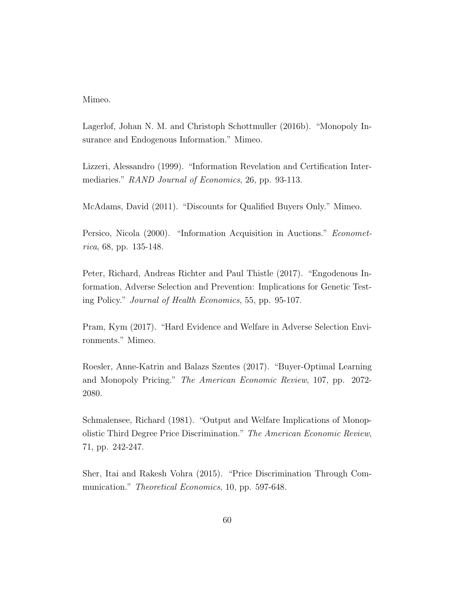Mimeo.

Lagerlof, Johan N. M. and Christoph Schottmuller (2016b). "Monopoly Insurance and Endogenous Information." Mimeo.

Lizzeri, Alessandro (1999). "Information Revelation and Certification Intermediaries." RAND Journal of Economics, 26, pp. 93-113.

McAdams, David (2011). "Discounts for Qualified Buyers Only." Mimeo.

Persico, Nicola (2000). "Information Acquisition in Auctions." Econometrica, 68, pp. 135-148.

Peter, Richard, Andreas Richter and Paul Thistle (2017). "Engodenous Information, Adverse Selection and Prevention: Implications for Genetic Testing Policy." Journal of Health Economics, 55, pp. 95-107.

Pram, Kym (2017). "Hard Evidence and Welfare in Adverse Selection Environments." Mimeo.

Roesler, Anne-Katrin and Balazs Szentes (2017). "Buyer-Optimal Learning and Monopoly Pricing." The American Economic Review, 107, pp. 2072- 2080.

Schmalensee, Richard (1981). "Output and Welfare Implications of Monopolistic Third Degree Price Discrimination." The American Economic Review, 71, pp. 242-247.

Sher, Itai and Rakesh Vohra (2015). "Price Discrimination Through Communication." *Theoretical Economics*, 10, pp. 597-648.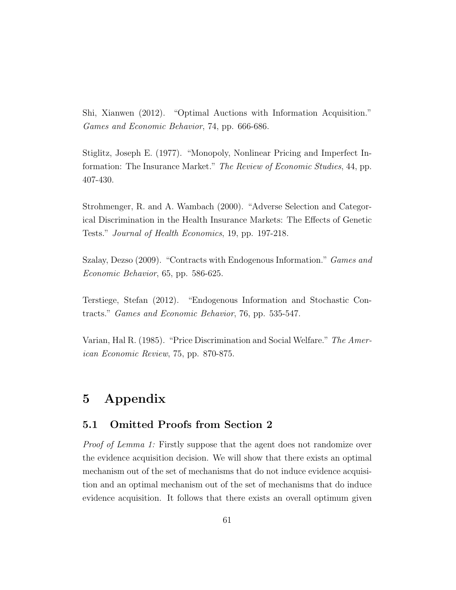Shi, Xianwen (2012). "Optimal Auctions with Information Acquisition." Games and Economic Behavior, 74, pp. 666-686.

Stiglitz, Joseph E. (1977). "Monopoly, Nonlinear Pricing and Imperfect Information: The Insurance Market." The Review of Economic Studies, 44, pp. 407-430.

Strohmenger, R. and A. Wambach (2000). "Adverse Selection and Categorical Discrimination in the Health Insurance Markets: The Effects of Genetic Tests." Journal of Health Economics, 19, pp. 197-218.

Szalay, Dezso (2009). "Contracts with Endogenous Information." Games and Economic Behavior, 65, pp. 586-625.

Terstiege, Stefan (2012). "Endogenous Information and Stochastic Contracts." Games and Economic Behavior, 76, pp. 535-547.

Varian, Hal R. (1985). "Price Discrimination and Social Welfare." The American Economic Review, 75, pp. 870-875.

# 5 Appendix

### 5.1 Omitted Proofs from Section 2

Proof of Lemma 1: Firstly suppose that the agent does not randomize over the evidence acquisition decision. We will show that there exists an optimal mechanism out of the set of mechanisms that do not induce evidence acquisition and an optimal mechanism out of the set of mechanisms that do induce evidence acquisition. It follows that there exists an overall optimum given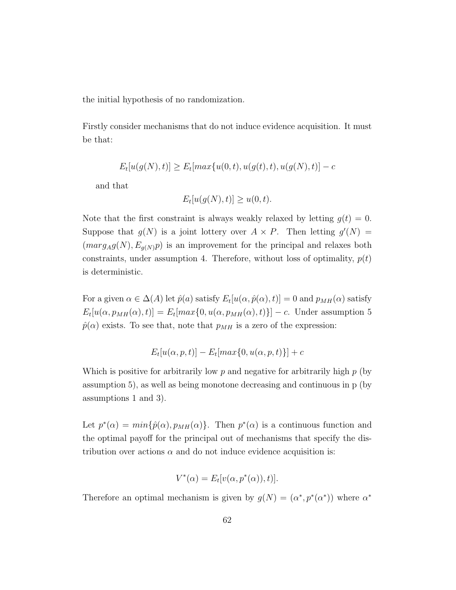the initial hypothesis of no randomization.

Firstly consider mechanisms that do not induce evidence acquisition. It must be that:

$$
E_t[u(g(N),t)] \ge E_t[max\{u(0,t), u(g(t),t), u(g(N),t)] - c
$$

and that

$$
E_t[u(g(N),t)] \ge u(0,t).
$$

Note that the first constraint is always weakly relaxed by letting  $g(t) = 0$ . Suppose that  $g(N)$  is a joint lottery over  $A \times P$ . Then letting  $g'(N) =$  $(marg_Ag(N), E_{g(N)}p)$  is an improvement for the principal and relaxes both constraints, under assumption 4. Therefore, without loss of optimality,  $p(t)$ is deterministic.

For a given  $\alpha \in \Delta(A)$  let  $\hat{p}(a)$  satisfy  $E_t[u(\alpha, \hat{p}(\alpha), t)] = 0$  and  $p_{MH}(\alpha)$  satisfy  $E_t[u(\alpha, p_{MH}(\alpha), t)] = E_t[max\{0, u(\alpha, p_{MH}(\alpha), t)\}]-c$ . Under assumption 5  $\hat{p}(\alpha)$  exists. To see that, note that  $p_{MH}$  is a zero of the expression:

$$
E_t[u(\alpha, p, t)] - E_t[\max\{0, u(\alpha, p, t)\}] + c
$$

Which is positive for arbitrarily low  $p$  and negative for arbitrarily high  $p$  (by assumption 5), as well as being monotone decreasing and continuous in p (by assumptions 1 and 3).

Let  $p^*(\alpha) = min\{\hat{p}(\alpha), p_{MH}(\alpha)\}\$ . Then  $p^*(\alpha)$  is a continuous function and the optimal payoff for the principal out of mechanisms that specify the distribution over actions  $\alpha$  and do not induce evidence acquisition is:

$$
V^*(\alpha) = E_t[v(\alpha, p^*(\alpha)), t)].
$$

Therefore an optimal mechanism is given by  $g(N) = (\alpha^*, p^*(\alpha^*))$  where  $\alpha^*$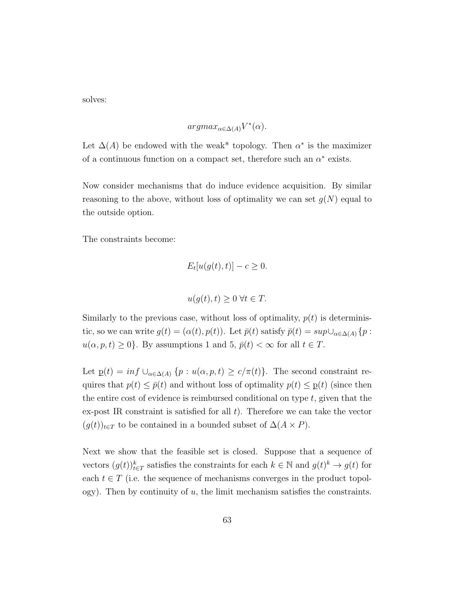solves:

$$
argmax_{\alpha \in \Delta(A)} V^*(\alpha).
$$

Let  $\Delta(A)$  be endowed with the weak<sup>\*</sup> topology. Then  $\alpha^*$  is the maximizer of a continuous function on a compact set, therefore such an  $\alpha^*$  exists.

Now consider mechanisms that do induce evidence acquisition. By similar reasoning to the above, without loss of optimality we can set  $g(N)$  equal to the outside option.

The constraints become:

$$
E_t[u(g(t),t)] - c \ge 0.
$$

$$
u(g(t),t) \ge 0 \,\forall t \in T.
$$

Similarly to the previous case, without loss of optimality,  $p(t)$  is deterministic, so we can write  $g(t) = (\alpha(t), p(t))$ . Let  $\bar{p}(t)$  satisfy  $\bar{p}(t) = \sup \cup_{\alpha \in \Delta(A)} \{p :$  $u(\alpha, p, t) \geq 0$ . By assumptions 1 and 5,  $\bar{p}(t) < \infty$  for all  $t \in T$ .

Let  $p(t) = inf \cup_{\alpha \in \Delta(A)} \{p : u(\alpha, p, t) \ge c/\pi(t)\}.$  The second constraint requires that  $p(t) \leq \bar{p}(t)$  and without loss of optimality  $p(t) \leq p(t)$  (since then the entire cost of evidence is reimbursed conditional on type  $t$ , given that the ex-post IR constraint is satisfied for all  $t$ ). Therefore we can take the vector  $(g(t))_{t\in T}$  to be contained in a bounded subset of  $\Delta(A \times P)$ .

Next we show that the feasible set is closed. Suppose that a sequence of vectors  $(g(t))_{t\in T}^k$  satisfies the constraints for each  $k \in \mathbb{N}$  and  $g(t)^k \to g(t)$  for each  $t \in T$  (i.e. the sequence of mechanisms converges in the product topology). Then by continuity of  $u$ , the limit mechanism satisfies the constraints.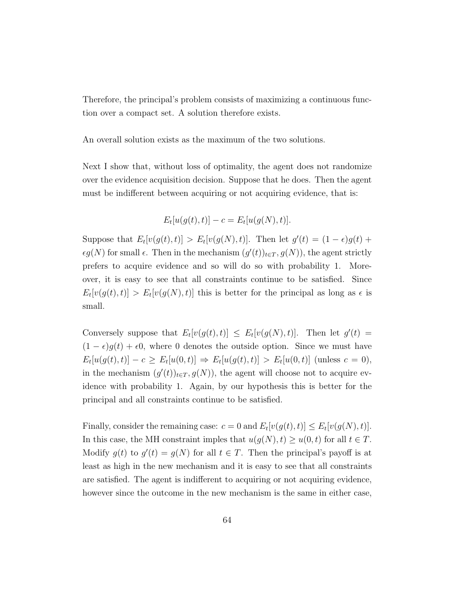Therefore, the principal's problem consists of maximizing a continuous function over a compact set. A solution therefore exists.

An overall solution exists as the maximum of the two solutions.

Next I show that, without loss of optimality, the agent does not randomize over the evidence acquisition decision. Suppose that he does. Then the agent must be indifferent between acquiring or not acquiring evidence, that is:

$$
E_t[u(g(t),t)] - c = E_t[u(g(N),t)].
$$

Suppose that  $E_t[v(g(t), t)] > E_t[v(g(N), t)]$ . Then let  $g'(t) = (1 - \epsilon)g(t) +$  $\epsilon g(N)$  for small  $\epsilon$ . Then in the mechanism  $(g'(t))_{t\in T}$ ,  $g(N)$ ), the agent strictly prefers to acquire evidence and so will do so with probability 1. Moreover, it is easy to see that all constraints continue to be satisfied. Since  $E_t[v(g(t), t)] > E_t[v(g(N), t)]$  this is better for the principal as long as  $\epsilon$  is small.

Conversely suppose that  $E_t[v(g(t), t)] \leq E_t[v(g(N), t)]$ . Then let  $g'(t) =$  $(1 - \epsilon)g(t) + \epsilon 0$ , where 0 denotes the outside option. Since we must have  $E_t[u(g(t), t)] - c \ge E_t[u(0, t)] \Rightarrow E_t[u(g(t), t)] > E_t[u(0, t)]$  (unless  $c = 0$ ), in the mechanism  $(g'(t))_{t\in T}$ ,  $g(N)$ , the agent will choose not to acquire evidence with probability 1. Again, by our hypothesis this is better for the principal and all constraints continue to be satisfied.

Finally, consider the remaining case:  $c = 0$  and  $E_t[v(g(t), t)] \le E_t[v(g(N), t)].$ In this case, the MH constraint imples that  $u(g(N), t) \ge u(0, t)$  for all  $t \in T$ . Modify  $g(t)$  to  $g'(t) = g(N)$  for all  $t \in T$ . Then the principal's payoff is at least as high in the new mechanism and it is easy to see that all constraints are satisfied. The agent is indifferent to acquiring or not acquiring evidence, however since the outcome in the new mechanism is the same in either case,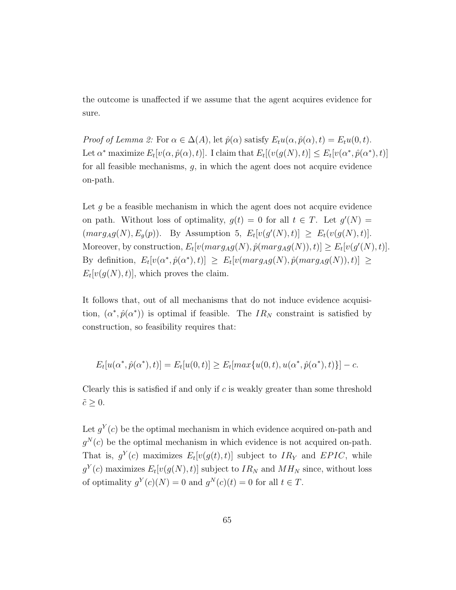the outcome is unaffected if we assume that the agent acquires evidence for sure.

Proof of Lemma 2: For  $\alpha \in \Delta(A)$ , let  $\hat{p}(\alpha)$  satisfy  $E_t u(\alpha, \hat{p}(\alpha), t) = E_t u(0, t)$ . Let  $\alpha^*$  maximize  $E_t[v(\alpha, \hat{p}(\alpha), t)]$ . I claim that  $E_t[v(g(N), t)] \leq E_t[v(\alpha^*, \hat{p}(\alpha^*), t)]$ for all feasible mechanisms,  $q$ , in which the agent does not acquire evidence on-path.

Let  $g$  be a feasible mechanism in which the agent does not acquire evidence on path. Without loss of optimality,  $g(t) = 0$  for all  $t \in T$ . Let  $g'(N) =$  $(marg_A g(N), E_g(p))$ . By Assumption 5,  $E_t[v(g'(N), t)] \ge E_t(v(g(N), t)].$ Moreover, by construction,  $E_t[v(marg_A g(N), \hat{p}(marg_A g(N)), t)] \ge E_t[v(g'(N), t)].$ By definition,  $E_t[v(\alpha^*, \hat{p}(\alpha^*), t)] \ge E_t[v(marg_A g(N), \hat{p}(marg_A g(N)), t)] \ge$  $E_t[v(g(N), t)],$  which proves the claim.

It follows that, out of all mechanisms that do not induce evidence acquisition,  $(\alpha^*, \hat{p}(\alpha^*))$  is optimal if feasible. The  $IR_N$  constraint is satisfied by construction, so feasibility requires that:

$$
E_t[u(\alpha^*, \hat{p}(\alpha^*), t)] = E_t[u(0, t)] \ge E_t[\max\{u(0, t), u(\alpha^*, \hat{p}(\alpha^*), t)\}] - c.
$$

Clearly this is satisfied if and only if c is weakly greater than some threshold  $\tilde{c} \geq 0$ .

Let  $g^{Y}(c)$  be the optimal mechanism in which evidence acquired on-path and  $g^{N}(c)$  be the optimal mechanism in which evidence is not acquired on-path. That is,  $g^{Y}(c)$  maximizes  $E_t[v(g(t), t)]$  subject to  $IR_Y$  and  $EPIC$ , while  $g^{Y}(c)$  maximizes  $E_t[v(g(N), t)]$  subject to  $IR_N$  and  $MH_N$  since, without loss of optimality  $g^{Y}(c)(N) = 0$  and  $g^{N}(c)(t) = 0$  for all  $t \in T$ .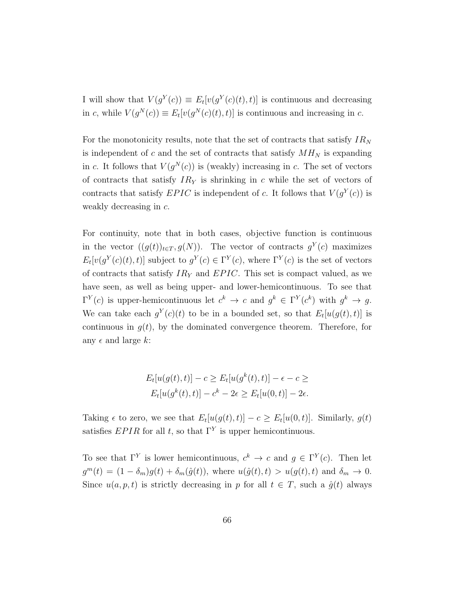I will show that  $V(g^Y(c)) \equiv E_t[v(g^Y(c)(t), t)]$  is continuous and decreasing in c, while  $V(g^N(c)) \equiv E_t[v(g^N(c)(t), t)]$  is continuous and increasing in c.

For the monotonicity results, note that the set of contracts that satisfy  $IR_N$ is independent of  $c$  and the set of contracts that satisfy  $MH_N$  is expanding in c. It follows that  $V(g^N(c))$  is (weakly) increasing in c. The set of vectors of contracts that satisfy  $IR<sub>Y</sub>$  is shrinking in c while the set of vectors of contracts that satisfy  $EPIC$  is independent of c. It follows that  $V(g<sup>Y</sup>(c))$  is weakly decreasing in c.

For continuity, note that in both cases, objective function is continuous in the vector  $((g(t))_{t\in T}, g(N))$ . The vector of contracts  $g^{Y}(c)$  maximizes  $E_t[v(g^Y(c)(t), t)]$  subject to  $g^Y(c) \in \Gamma^Y(c)$ , where  $\Gamma^Y(c)$  is the set of vectors of contracts that satisfy  $IR<sub>Y</sub>$  and  $EPIC$ . This set is compact valued, as we have seen, as well as being upper- and lower-hemicontinuous. To see that  $\Gamma^{Y}(c)$  is upper-hemicontinuous let  $c^{k} \to c$  and  $g^{k} \in \Gamma^{Y}(c^{k})$  with  $g^{k} \to g$ . We can take each  $g^{Y}(c)(t)$  to be in a bounded set, so that  $E_t[u(g(t), t)]$  is continuous in  $g(t)$ , by the dominated convergence theorem. Therefore, for any  $\epsilon$  and large k:

$$
E_t[u(g(t),t)] - c \ge E_t[u(g^k(t),t)] - \epsilon - c \ge
$$
  

$$
E_t[u(g^k(t),t)] - c^k - 2\epsilon \ge E_t[u(0,t)] - 2\epsilon.
$$

Taking  $\epsilon$  to zero, we see that  $E_t[u(g(t), t)] - c \ge E_t[u(0, t)]$ . Similarly,  $g(t)$ satisfies  $EPIR$  for all t, so that  $\Gamma^{Y}$  is upper hemicontinuous.

To see that  $\Gamma^{Y}$  is lower hemicontinuous,  $c^{k} \to c$  and  $g \in \Gamma^{Y}(c)$ . Then let  $g^m(t) = (1 - \delta_m)g(t) + \delta_m(\hat{g}(t)),$  where  $u(\hat{g}(t), t) > u(g(t), t)$  and  $\delta_m \to 0.$ Since  $u(a, p, t)$  is strictly decreasing in p for all  $t \in T$ , such a  $\hat{g}(t)$  always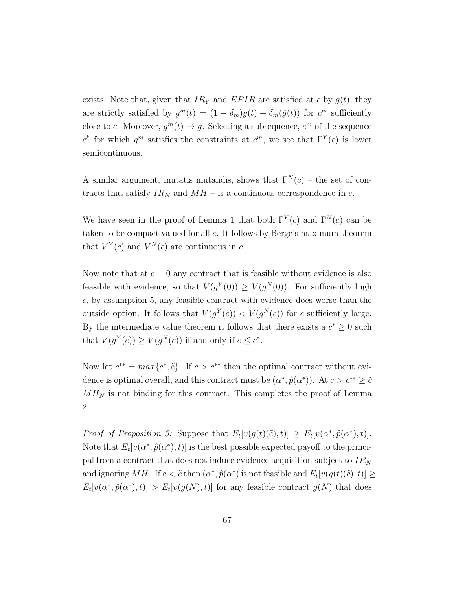exists. Note that, given that  $IR<sub>Y</sub>$  and  $EPIR$  are satisfied at c by  $g(t)$ , they are strictly satisfied by  $g^m(t) = (1 - \delta_m)g(t) + \delta_m(\hat{g}(t))$  for  $c^m$  sufficiently close to c. Moreover,  $g^m(t) \to g$ . Selecting a subsequence,  $c^m$  of the sequence  $c^k$  for which  $g^m$  satisfies the constraints at  $c^m$ , we see that  $\Gamma^Y(c)$  is lower semicontinuous.

A similar argument, mutatis mutandis, shows that  $\Gamma^{N}(c)$  – the set of contracts that satisfy  $IR_N$  and  $MH$  – is a continuous correspondence in c.

We have seen in the proof of Lemma 1 that both  $\Gamma^{Y}(c)$  and  $\Gamma^{N}(c)$  can be taken to be compact valued for all  $c$ . It follows by Berge's maximum theorem that  $V^Y(c)$  and  $V^N(c)$  are continuous in c.

Now note that at  $c = 0$  any contract that is feasible without evidence is also feasible with evidence, so that  $V(g^Y(0)) \geq V(g^N(0))$ . For sufficiently high c, by assumption 5, any feasible contract with evidence does worse than the outside option. It follows that  $V(g^Y(c)) < V(g^N(c))$  for c sufficiently large. By the intermediate value theorem it follows that there exists a  $c^* \geq 0$  such that  $V(g^Y(c)) \ge V(g^N(c))$  if and only if  $c \le c^*$ .

Now let  $c^{**} = max\{c^*, \tilde{c}\}\$ . If  $c > c^{**}$  then the optimal contract without evidence is optimal overall, and this contract must be  $(\alpha^*, \hat{p}(\alpha^*))$ . At  $c > c^{**} \geq \tilde{c}$  $MH<sub>N</sub>$  is not binding for this contract. This completes the proof of Lemma 2.

*Proof of Proposition 3:* Suppose that  $E_t[v(g(t)(\tilde{c}), t)] \geq E_t[v(\alpha^*, \hat{p}(\alpha^*), t)].$ Note that  $E_t[v(\alpha^*, \hat{p}(\alpha^*), t)]$  is the best possible expected payoff to the principal from a contract that does not induce evidence acquisition subject to  $IR<sub>N</sub>$ and ignoring MH. If  $c < \tilde{c}$  then  $(\alpha^*, \hat{p}(\alpha^*))$  is not feasible and  $E_t[v(g(t)(\tilde{c}), t)] \ge$  $E_t[v(\alpha^*, \hat{p}(\alpha^*), t)] > E_t[v(g(N), t)]$  for any feasible contract  $g(N)$  that does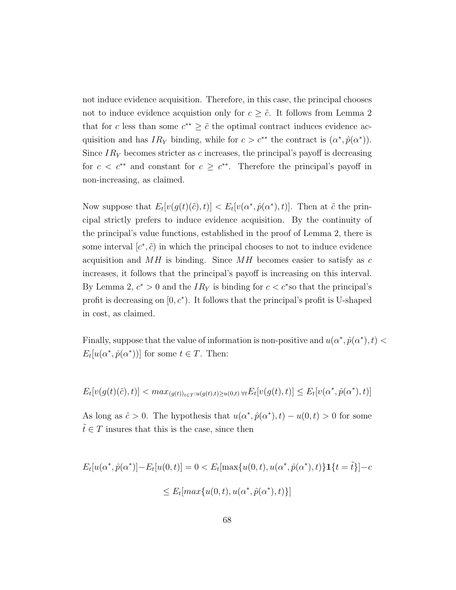not induce evidence acquisition. Therefore, in this case, the principal chooses not to induce evidence acquistion only for  $c \geq \tilde{c}$ . It follows from Lemma 2 that for c less than some  $c^{**} \geq \tilde{c}$  the optimal contract induces evidence acquisition and has  $IR_Y$  binding, while for  $c > c^{**}$  the contract is  $(\alpha^*, \hat{p}(\alpha^*))$ . Since  $IR<sub>Y</sub>$  becomes stricter as c increases, the principal's payoff is decreasing for  $c < c^{**}$  and constant for  $c \geq c^{**}$ . Therefore the principal's payoff in non-increasing, as claimed.

Now suppose that  $E_t[v(g(t)(\tilde{c}), t)] < E_t[v(\alpha^*, \hat{p}(\alpha^*), t)]$ . Then at  $\tilde{c}$  the principal strictly prefers to induce evidence acquisition. By the continuity of the principal's value functions, established in the proof of Lemma 2, there is some interval  $[c^*, \tilde{c})$  in which the principal chooses to not to induce evidence acquisition and  $MH$  is binding. Since  $MH$  becomes easier to satisfy as c increases, it follows that the principal's payoff is increasing on this interval. By Lemma 2,  $c^* > 0$  and the  $IR<sub>Y</sub>$  is binding for  $c < c^*$  so that the principal's profit is decreasing on  $[0, c^*$ ). It follows that the principal's profit is U-shaped in cost, as claimed.

Finally, suppose that the value of information is non-positive and  $u(\alpha^*, \hat{p}(\alpha^*), t)$  $E_t[u(\alpha^*, \hat{p}(\alpha^*))]$  for some  $t \in T$ . Then:

$$
E_t[v(g(t)(\tilde{c}),t)] < max_{(g(t))_{t \in T}:u(g(t),t) \ge u(0,t)} \forall t E_t[v(g(t),t)] \le E_t[v(\alpha^*, \hat{p}(\alpha^*),t)]
$$

As long as  $\tilde{c} > 0$ . The hypothesis that  $u(\alpha^*, \hat{p}(\alpha^*), t) - u(0, t) > 0$  for some  $\tilde{t} \in T$  insures that this is the case, since then

$$
E_t[u(\alpha^*, \hat{p}(\alpha^*)] - E_t[u(0, t)] = 0 < E_t[\max\{u(0, t), u(\alpha^*, \hat{p}(\alpha^*), t)\}\mathbf{1}\{t = \tilde{t}\}] - c
$$
\n
$$
\leq E_t[\max\{u(0, t), u(\alpha^*, \hat{p}(\alpha^*), t)\}]
$$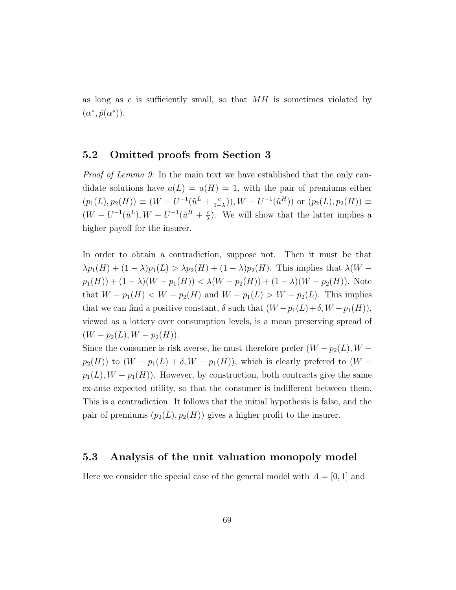as long as c is sufficiently small, so that  $MH$  is sometimes violated by  $(\alpha^*, \hat{p}(\alpha^*)).$ 

### 5.2 Omitted proofs from Section 3

*Proof of Lemma 9:* In the main text we have established that the only candidate solutions have  $a(L) = a(H) = 1$ , with the pair of premiums either  $(p_1(L), p_2(H)) \equiv (W - U^{-1}(\tilde{u}^L + \frac{c}{1-\epsilon})$  $(\frac{c}{1-\lambda})), W - U^{-1}(\tilde{u}^H)$  or  $(p_2(L), p_2(H)) \equiv$  $(W - U^{-1}(\tilde{u}^{L}), W - U^{-1}(\tilde{u}^{H} + \frac{c}{\lambda}))$  $\frac{c}{\lambda}$ ). We will show that the latter implies a higher payoff for the insurer.

In order to obtain a contradiction, suppose not. Then it must be that  $\lambda p_1(H) + (1 - \lambda)p_1(L) > \lambda p_2(H) + (1 - \lambda)p_2(H)$ . This implies that  $\lambda(W$  $p_1(H) + (1 - \lambda)(W - p_1(H)) < \lambda(W - p_2(H)) + (1 - \lambda)(W - p_2(H))$ . Note that  $W - p_1(H) < W - p_2(H)$  and  $W - p_1(L) > W - p_2(L)$ . This implies that we can find a positive constant,  $\delta$  such that  $(W - p_1(L) + \delta, W - p_1(H)),$ viewed as a lottery over consumption levels, is a mean preserving spread of  $(W - p_2(L), W - p_2(H)).$ 

Since the consumer is risk averse, he must therefore prefer  $(W - p_2(L), W$  $p_2(H)$ ) to  $(W - p_1(L) + \delta, W - p_1(H))$ , which is clearly prefered to  $(W$  $p_1(L), W - p_1(H)$ . However, by construction, both contracts give the same ex-ante expected utility, so that the consumer is indifferent between them. This is a contradiction. It follows that the initial hypothesis is false, and the pair of premiums  $(p_2(L), p_2(H))$  gives a higher profit to the insurer.

#### 5.3 Analysis of the unit valuation monopoly model

Here we consider the special case of the general model with  $A = [0, 1]$  and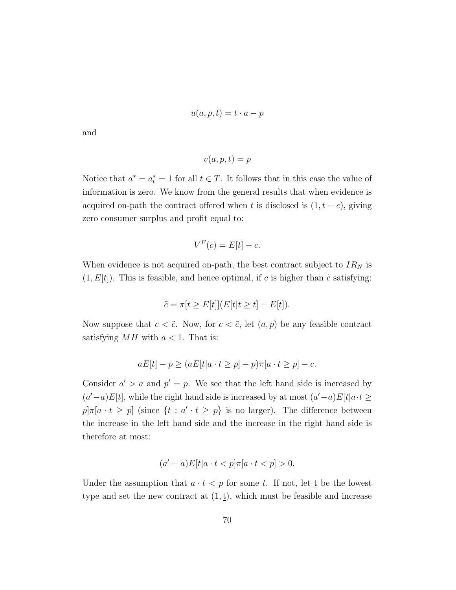$$
u(a,p,t) = t \cdot a - p
$$

and

$$
v(a, p, t) = p
$$

Notice that  $a^* = a_t^* = 1$  for all  $t \in T$ . It follows that in this case the value of information is zero. We know from the general results that when evidence is acquired on-path the contract offered when t is disclosed is  $(1, t - c)$ , giving zero consumer surplus and profit equal to:

$$
V^E(c) = E[t] - c.
$$

When evidence is not acquired on-path, the best contract subject to  $IR_N$  is  $(1, E[t])$ . This is feasible, and hence optimal, if c is higher than  $\tilde{c}$  satisfying:

$$
\tilde{c} = \pi[t \ge E[t]](E[t|t \ge t] - E[t]).
$$

Now suppose that  $c < \tilde{c}$ . Now, for  $c < \tilde{c}$ , let  $(a, p)$  be any feasible contract satisfying  $MH$  with  $a < 1$ . That is:

$$
aE[t] - p \ge (aE[t|a \cdot t \ge p] - p)\pi[a \cdot t \ge p] - c.
$$

Consider  $a' > a$  and  $p' = p$ . We see that the left hand side is increased by  $(a'-a)E[t]$ , while the right hand side is increased by at most  $(a'-a)E[t]a \cdot t \geq$  $p\vert \pi\vert a \cdot t \geq p\vert$  (since  $\{t : a' \cdot t \geq p\}$  is no larger). The difference between the increase in the left hand side and the increase in the right hand side is therefore at most:

$$
(a'-a)E[t|a \cdot t < p]\pi[a \cdot t < p] > 0.
$$

Under the assumption that  $a \cdot t < p$  for some t. If not, let  $\underline{t}$  be the lowest type and set the new contract at  $(1, \underline{t})$ , which must be feasible and increase